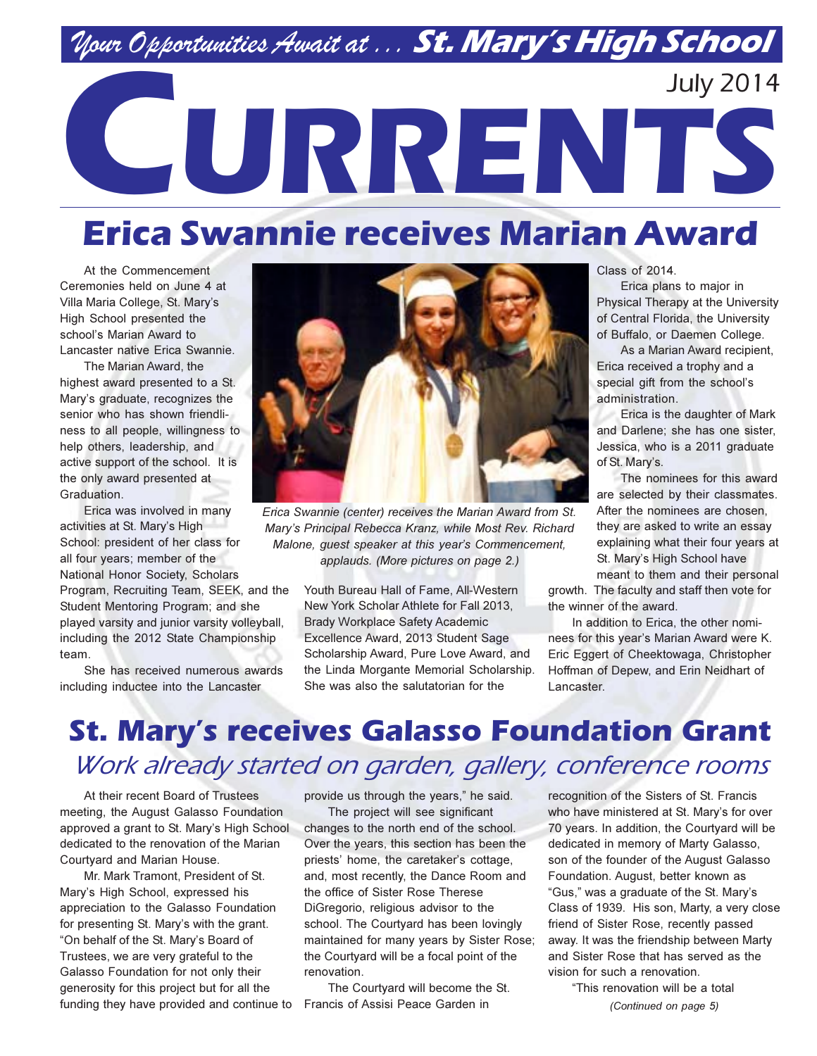## Nour Opportunities Await at ... St. Mary's High School

# **July 2014** CURRENTS

## **Erica Swannie receives Marian Award**

At the Commencement Ceremonies held on June 4 at Villa Maria College, St. Mary's High School presented the school's Marian Award to Lancaster native Erica Swannie.

The Marian Award, the highest award presented to a St. Mary's graduate, recognizes the senior who has shown friendliness to all people, willingness to help others, leadership, and active support of the school. It is the only award presented at Graduation.

Erica was involved in many activities at St. Mary's High School: president of her class for all four years; member of the National Honor Society, Scholars Program, Recruiting Team, SEEK, and the Student Mentoring Program; and she played varsity and junior varsity volleyball, including the 2012 State Championship team.

She has received numerous awards including inductee into the Lancaster



Erica Swannie (center) receives the Marian Award from St. Mary's Principal Rebecca Kranz, while Most Rev. Richard Malone, guest speaker at this year's Commencement, applauds. (More pictures on page 2.)

Youth Bureau Hall of Fame. All-Western New York Scholar Athlete for Fall 2013. **Brady Workplace Safety Academic** Excellence Award, 2013 Student Sage Scholarship Award, Pure Love Award, and the Linda Morgante Memorial Scholarship. She was also the salutatorian for the

**Class of 2014.** 

Erica plans to major in Physical Therapy at the University of Central Florida, the University of Buffalo, or Daemen College.

As a Marian Award recipient, Erica received a trophy and a special gift from the school's administration.

Erica is the daughter of Mark and Darlene; she has one sister, Jessica, who is a 2011 graduate of St. Mary's.

The nominees for this award are selected by their classmates. After the nominees are chosen, they are asked to write an essay explaining what their four years at St. Mary's High School have

meant to them and their personal growth. The faculty and staff then vote for the winner of the award.

In addition to Erica, the other nominees for this year's Marian Award were K. Eric Eggert of Cheektowaga, Christopher Hoffman of Depew, and Erin Neidhart of Lancaster

## **St. Mary's receives Galasso Foundation Grant** Work already started on garden, gallery, conference rooms

At their recent Board of Trustees meeting, the August Galasso Foundation approved a grant to St. Mary's High School dedicated to the renovation of the Marian Courtyard and Marian House.

Mr. Mark Tramont. President of St. Mary's High School, expressed his appreciation to the Galasso Foundation for presenting St. Mary's with the grant. "On behalf of the St. Mary's Board of Trustees, we are very grateful to the Galasso Foundation for not only their generosity for this project but for all the funding they have provided and continue to Francis of Assisi Peace Garden in

provide us through the years." he said.

The project will see significant changes to the north end of the school. Over the years, this section has been the priests' home, the caretaker's cottage, and, most recently, the Dance Room and the office of Sister Rose Therese DiGregorio, religious advisor to the school. The Courtyard has been lovingly maintained for many years by Sister Rose; the Courtyard will be a focal point of the renovation.

The Courtyard will become the St.

recognition of the Sisters of St. Francis who have ministered at St. Mary's for over 70 years. In addition, the Courtyard will be dedicated in memory of Marty Galasso, son of the founder of the August Galasso Foundation. August, better known as "Gus," was a graduate of the St. Mary's Class of 1939. His son, Marty, a very close friend of Sister Rose, recently passed away. It was the friendship between Marty and Sister Rose that has served as the vision for such a renovation.

> "This renovation will be a total (Continued on page 5)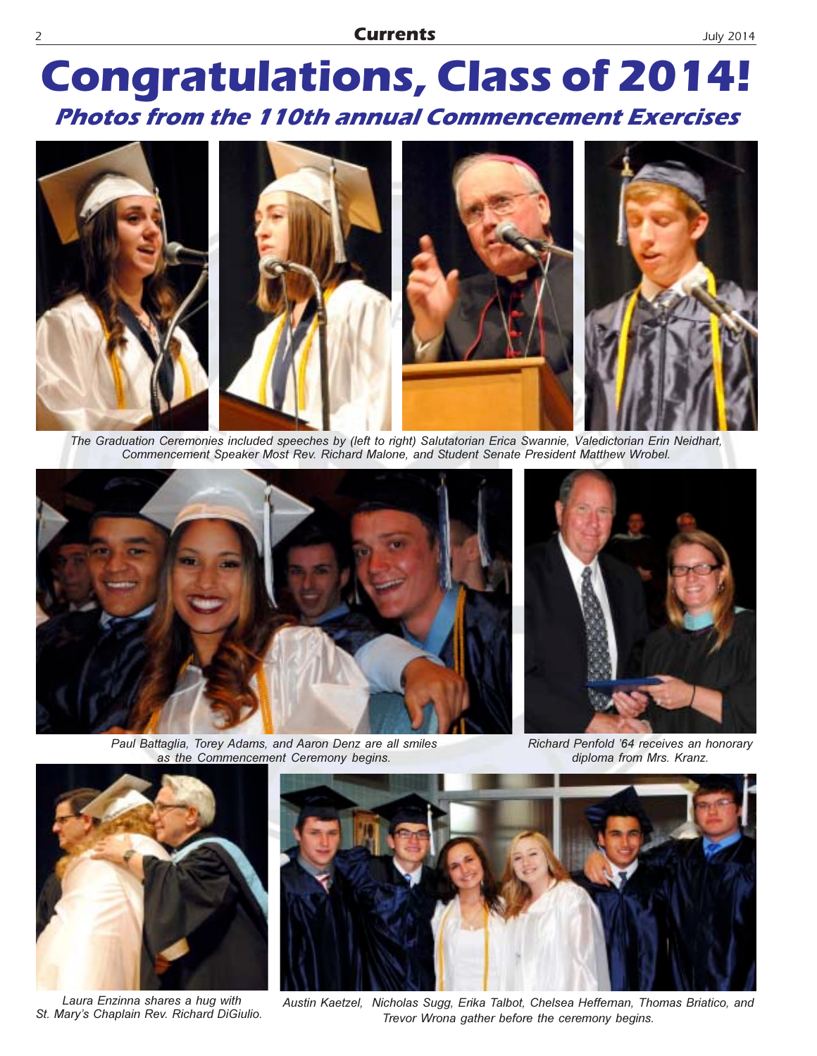## **Congratulations, Class of 2014! Photos from the 110th annual Commencement Exercises**



The Graduation Ceremonies included speeches by (left to right) Salutatorian Erica Swannie, Valedictorian Erin Neidhart, Commencement Speaker Most Rev. Richard Malone, and Student Senate President Matthew Wrobel.



Paul Battaglia, Torey Adams, and Aaron Denz are all smiles as the Commencement Ceremony begins.



Richard Penfold '64 receives an honorary diploma from Mrs. Kranz.



Laura Enzinna shares a hug with St. Mary's Chaplain Rev. Richard DiGiulio.



Austin Kaetzel, Nicholas Sugg, Erika Talbot, Chelsea Heffeman, Thomas Briatico, and Trevor Wrona gather before the ceremony begins.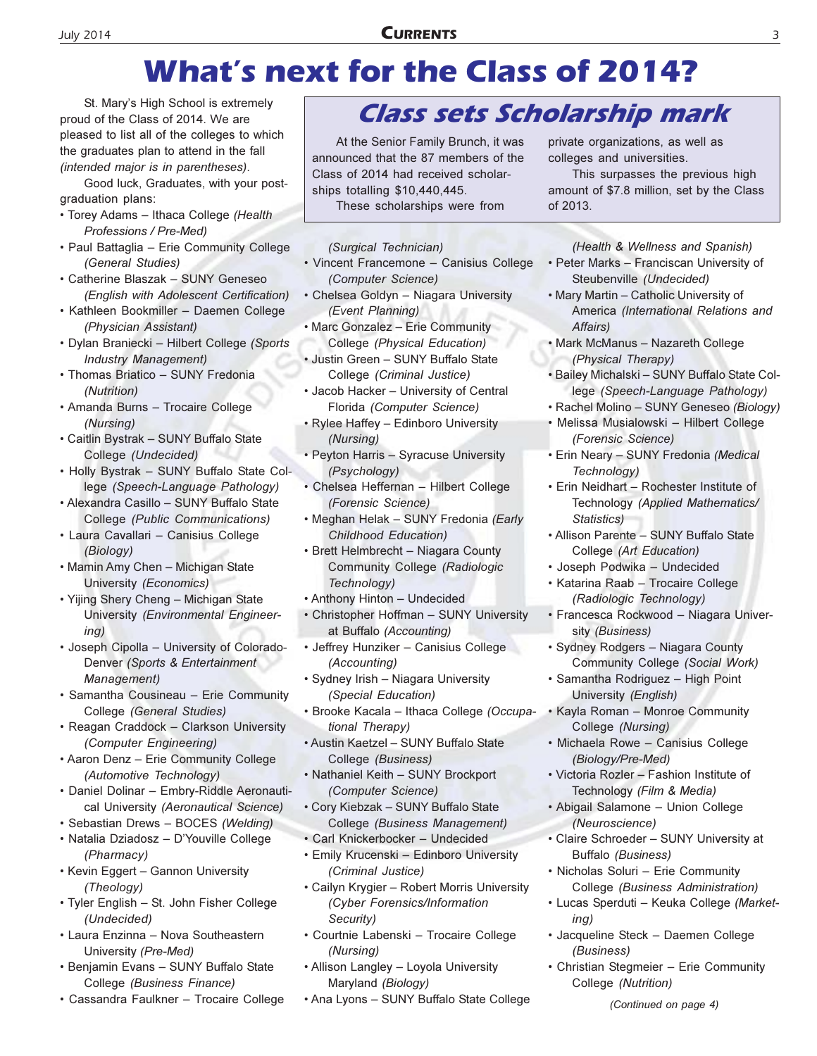### **CURRENTS**

## **What's next for the Class of 2014?**

St. Mary's High School is extremely proud of the Class of 2014. We are pleased to list all of the colleges to which the graduates plan to attend in the fall (intended major is in parentheses).

Good luck, Graduates, with your postgraduation plans:

- Torey Adams Ithaca College (Health Professions / Pre-Med)
- Paul Battaglia Erie Community College (General Studies)
- Catherine Blaszak SUNY Geneseo (English with Adolescent Certification)
- · Kathleen Bookmiller Daemen College (Physician Assistant)
- · Dylan Braniecki Hilbert College (Sports **Industry Management)**
- · Thomas Briatico SUNY Fredonia (Nutrition)
- · Amanda Burns Trocaire College (Nursina)
- · Caitlin Bystrak SUNY Buffalo State College (Undecided)
- . Holly Bystrak SUNY Buffalo State College (Speech-Language Pathology)
- · Alexandra Casillo SUNY Buffalo State College (Public Communications)
- · Laura Cavallari Canisius College (Biology)
- Mamin Amy Chen Michigan State University (Economics)
- Yijing Shery Cheng Michigan State University (Environmental Engineer $ing)$
- · Joseph Cipolla University of Colorado-Denver (Sports & Entertainment Management)
- · Samantha Cousineau Erie Community College (General Studies)
- Reagan Craddock Clarkson University (Computer Engineering)
- Aaron Denz Erie Community College (Automotive Technology)
- · Daniel Dolinar Embry-Riddle Aeronautical University (Aeronautical Science)
- · Sebastian Drews BOCES (Welding)
- · Natalia Dziadosz D'Youville College (Pharmacy)
- Kevin Eggert Gannon University (Theology)
- Tyler English St. John Fisher College (Undecided)
- Laura Enzinna Nova Southeastern University (Pre-Med)
- · Benjamin Evans SUNY Buffalo State College (Business Finance)
- Cassandra Faulkner Trocaire College

### **Class sets Scholarship mark**

At the Senior Family Brunch, it was announced that the 87 members of the Class of 2014 had received scholarships totalling \$10,440,445.

These scholarships were from

- (Surgical Technician)
- Vincent Francemone Canisius College (Computer Science)
- Chelsea Goldyn Niagara University (Event Planning)
- . Marc Gonzalez Erie Community College (Physical Education)
- · Justin Green SUNY Buffalo State College (Criminal Justice)
- Jacob Hacker University of Central Florida (Computer Science)
- Rylee Haffey Edinboro University (Nursing)
- Peyton Harris Syracuse University (Psychology)
- · Chelsea Heffernan Hilbert College (Forensic Science)
- Meghan Helak SUNY Fredonia (Early **Childhood Education)**
- Brett Helmbrecht Niagara County Community College (Radiologic Technology)
- Anthony Hinton Undecided
- Christopher Hoffman SUNY University at Buffalo (Accounting)
- Jeffrey Hunziker Canisius College (Accounting)
- · Sydney Irish Niagara University (Special Education)
- · Brooke Kacala Ithaca College (Occupational Therapy)
- · Austin Kaetzel SUNY Buffalo State College (Business)
- · Nathaniel Keith SUNY Brockport (Computer Science)
- · Cory Kiebzak SUNY Buffalo State College (Business Management)
- · Carl Knickerbocker Undecided
- Emily Krucenski Edinboro University (Criminal Justice)
- Cailyn Krygier Robert Morris University (Cyber Forensics/Information Security)
- Courtnie Labenski Trocaire College (Nursing)
- Allison Langley Loyola University Maryland (Biology)
- Ana Lyons SUNY Buffalo State College

private organizations, as well as colleges and universities.

This surpasses the previous high amount of \$7.8 million, set by the Class of 2013.

(Health & Wellness and Spanish) • Peter Marks - Franciscan University of Steubenville (Undecided)

- . Mary Martin Catholic University of America (International Relations and Affairs)
- · Mark McManus Nazareth College (Physical Therapy)
- · Bailey Michalski SUNY Buffalo State College (Speech-Language Pathology)
- Rachel Molino SUNY Geneseo (Biology)
- Melissa Musialowski Hilbert College (Forensic Science)
- · Erin Neary SUNY Fredonia (Medical Technology)
- Erin Neidhart Rochester Institute of Technology (Applied Mathematics/ Statistics)
- · Allison Parente SUNY Buffalo State College (Art Education)
- · Joseph Podwika Undecided
- · Katarina Raab Trocaire College (Radiologic Technology)
- · Francesca Rockwood Niagara University (Business)
- · Sydney Rodgers Niagara County Community College (Social Work)
- · Samantha Rodriguez High Point University (English)
- Kayla Roman Monroe Community College (Nursing)
- · Michaela Rowe Canisius College (Biology/Pre-Med)
- · Victoria Rozler Fashion Institute of Technology (Film & Media)
- · Abigail Salamone Union College (Neuroscience)
- Claire Schroeder SUNY University at Buffalo (Business)
- · Nicholas Soluri Erie Community College (Business Administration)
- · Lucas Sperduti Keuka College (Market $in a$
- · Jacqueline Steck Daemen College (Business)
- Christian Stegmeier Erie Community College (Nutrition)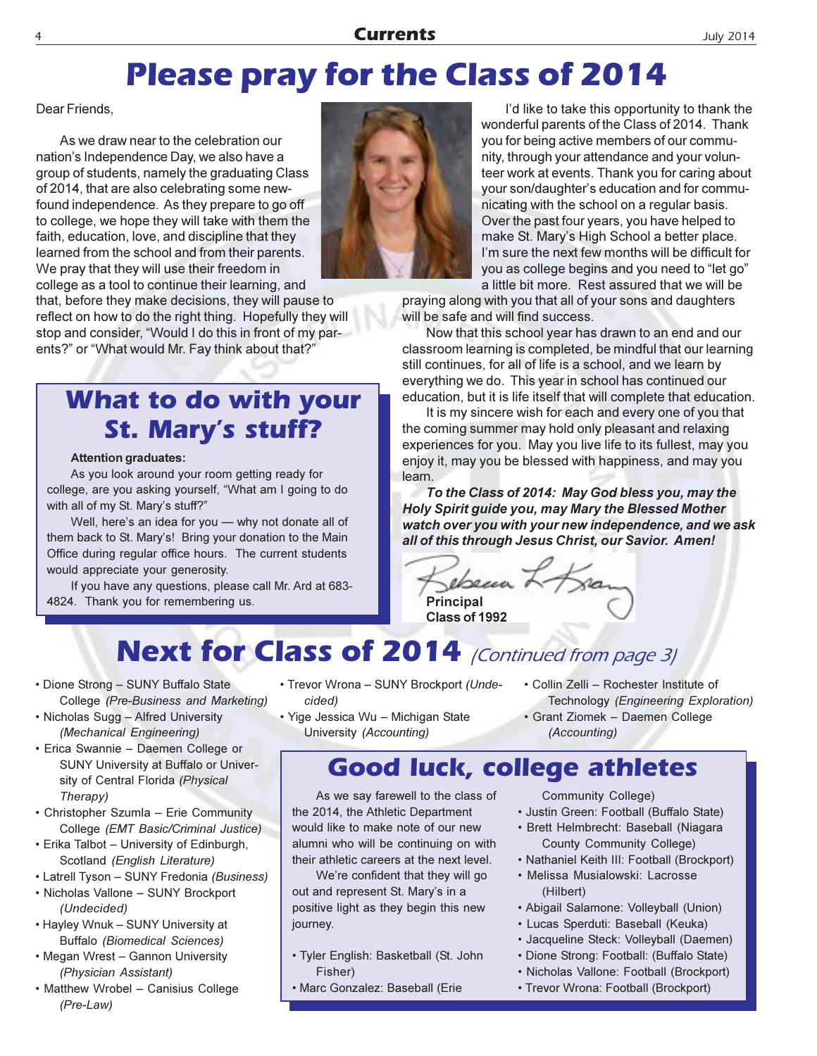### **Currents**

## **Please pray for the Class of 2014**

Dear Friends.

As we draw near to the celebration our nation's Independence Day, we also have a group of students, namely the graduating Class of 2014, that are also celebrating some newfound independence. As they prepare to go off to college, we hope they will take with them the faith, education, love, and discipline that they learned from the school and from their parents. We pray that they will use their freedom in college as a tool to continue their learning, and that, before they make decisions, they will pause to reflect on how to do the right thing. Hopefully they will

stop and consider, "Would I do this in front of my par-

What to do with your

**St. Mary's stuff?** 

Well, here's an idea for you - why not donate all of

If you have any questions, please call Mr. Ard at 683-

As you look around your room getting ready for

college, are you asking yourself, "What am I going to do

them back to St. Mary's! Bring your donation to the Main

Office during regular office hours. The current students

ents?" or "What would Mr. Fay think about that?"



I'd like to take this opportunity to thank the wonderful parents of the Class of 2014. Thank you for being active members of our community, through your attendance and your volunteer work at events. Thank you for caring about your son/daughter's education and for communicating with the school on a regular basis. Over the past four years, you have helped to make St. Mary's High School a better place. I'm sure the next few months will be difficult for you as college begins and you need to "let go" a little bit more. Rest assured that we will be

praying along with you that all of your sons and daughters will be safe and will find success.

Now that this school year has drawn to an end and our classroom learning is completed, be mindful that our learning still continues, for all of life is a school, and we learn by everything we do. This year in school has continued our education, but it is life itself that will complete that education.

It is my sincere wish for each and every one of you that the coming summer may hold only pleasant and relaxing experiences for you. May you live life to its fullest, may you enjoy it, may you be blessed with happiness, and may you learn

To the Class of 2014: May God bless you, may the Holy Spirit quide you, may Mary the Blessed Mother watch over you with your new independence, and we ask all of this through Jesus Christ, our Savior. Amen!

 $\infty$ ebecca + Class of 1992

## Next for Class of 2014 (Continued from page 3)

• Dione Strong - SUNY Buffalo State College (Pre-Business and Marketing)

**Attention graduates:** 

with all of my St. Mary's stuff?"

would appreciate your generosity.

4824. Thank you for remembering us.

- Nicholas Sugg Alfred University (Mechanical Engineering)
- · Erica Swannie Daemen College or SUNY University at Buffalo or University of Central Florida (Physical Therapy)
- Christopher Szumla Erie Community College (EMT Basic/Criminal Justice)
- Erika Talbot University of Edinburgh, Scotland (English Literature)
- Latrell Tyson SUNY Fredonia (Business) • Nicholas Vallone - SUNY Brockport
- (Undecided)
- Hayley Wnuk SUNY University at **Buffalo** (Biomedical Sciences)
- Megan Wrest Gannon University (Physician Assistant)
- Matthew Wrobel Canisius College  $(Pre-Law)$
- Trevor Wrona SUNY Brockport (Undecided)
- · Yige Jessica Wu Michigan State University (Accounting)
- Collin Zelli Rochester Institute of Technology (Engineering Exploration) · Grant Ziomek - Daemen College
- (Accounting)

### **Good luck, college athletes**

As we say farewell to the class of the 2014, the Athletic Department would like to make note of our new alumni who will be continuing on with their athletic careers at the next level.

We're confident that they will go out and represent St. Mary's in a positive light as they begin this new journey.

- Tyler English: Basketball (St. John Fisher)
- · Marc Gonzalez: Baseball (Erie

Community College)

- · Justin Green: Football (Buffalo State)
- · Brett Helmbrecht: Baseball (Niagara County Community College)
- Nathaniel Keith III: Football (Brockport)
- Melissa Musialowski: Lacrosse (Hilbert)
- Abigail Salamone: Volleyball (Union)
- · Lucas Sperduti: Baseball (Keuka)
- · Jacqueline Steck: Volleyball (Daemen)
- · Dione Strong: Football: (Buffalo State)
- Nicholas Vallone: Football (Brockport)
- Trevor Wrona: Football (Brockport)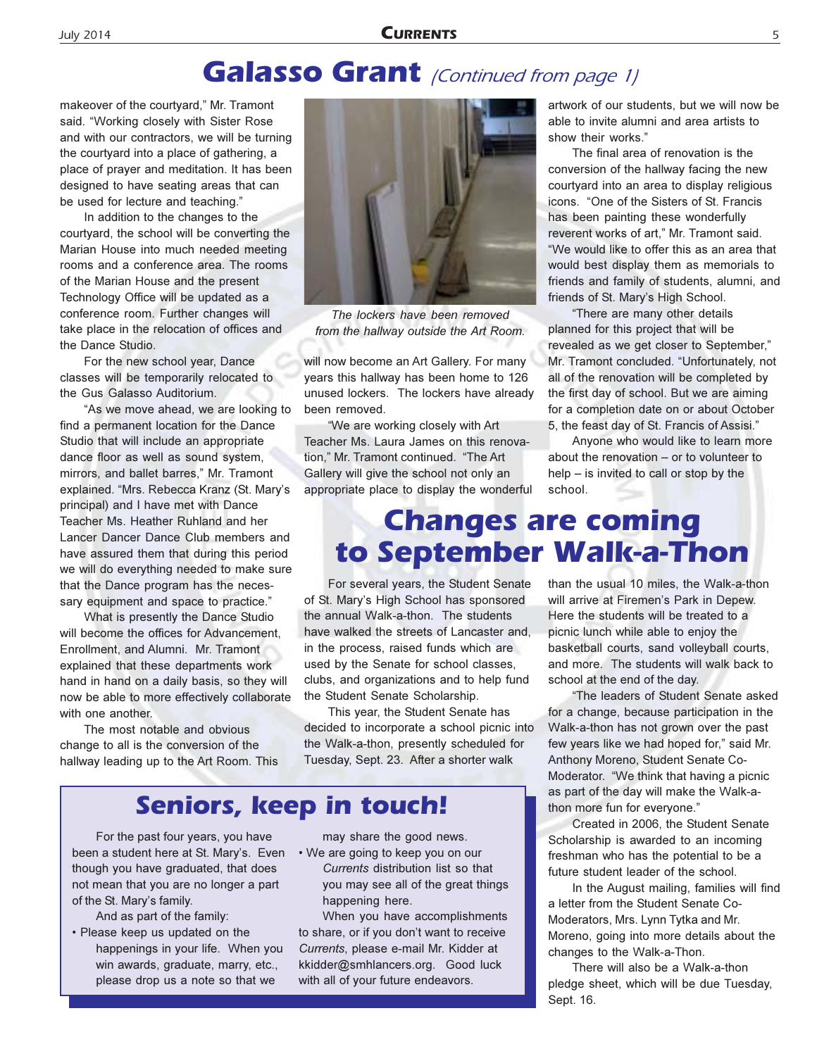### **Galasso Grant** (Continued from page 1)

makeover of the courtyard," Mr. Tramont said. "Working closely with Sister Rose and with our contractors, we will be turning the courtyard into a place of gathering, a place of prayer and meditation. It has been designed to have seating areas that can be used for lecture and teaching."

In addition to the changes to the courtyard, the school will be converting the Marian House into much needed meeting rooms and a conference area. The rooms of the Marian House and the present Technology Office will be updated as a conference room. Further changes will take place in the relocation of offices and the Dance Studio.

For the new school year, Dance classes will be temporarily relocated to the Gus Galasso Auditorium.

"As we move ahead, we are looking to find a permanent location for the Dance Studio that will include an appropriate dance floor as well as sound system, mirrors, and ballet barres," Mr. Tramont explained. "Mrs. Rebecca Kranz (St. Mary's principal) and I have met with Dance Teacher Ms. Heather Ruhland and her Lancer Dancer Dance Club members and have assured them that during this period we will do everything needed to make sure that the Dance program has the necessary equipment and space to practice."

What is presently the Dance Studio will become the offices for Advancement, Enrollment, and Alumni. Mr. Tramont explained that these departments work hand in hand on a daily basis, so they will now be able to more effectively collaborate with one another.

The most notable and obvious change to all is the conversion of the hallway leading up to the Art Room. This



The lockers have been removed from the hallway outside the Art Room.

will now become an Art Gallery. For many years this hallway has been home to 126 unused lockers. The lockers have already been removed.

"We are working closely with Art Teacher Ms. Laura James on this renovation." Mr. Tramont continued. "The Art Gallery will give the school not only an appropriate place to display the wonderful artwork of our students, but we will now be able to invite alumni and area artists to show their works'

The final area of renovation is the conversion of the hallway facing the new courtyard into an area to display religious icons. "One of the Sisters of St. Francis has been painting these wonderfully reverent works of art," Mr. Tramont said. "We would like to offer this as an area that would best display them as memorials to friends and family of students, alumni, and friends of St. Mary's High School.

"There are many other details planned for this project that will be revealed as we get closer to September," Mr. Tramont concluded. "Unfortunately, not all of the renovation will be completed by the first day of school. But we are aiming for a completion date on or about October 5, the feast day of St. Francis of Assisi."

Anyone who would like to learn more about the renovation – or to volunteer to  $help - is invited to call or stop by the$ school.

### **Changes are coming** to September Walk-a-Thon

For several years, the Student Senate of St. Mary's High School has sponsored the annual Walk-a-thon. The students have walked the streets of Lancaster and, in the process, raised funds which are used by the Senate for school classes, clubs, and organizations and to help fund the Student Senate Scholarship.

This year, the Student Senate has decided to incorporate a school picnic into the Walk-a-thon, presently scheduled for Tuesday, Sept. 23. After a shorter walk

### **Seniors, keep in touch!**

For the past four years, you have been a student here at St. Mary's. Even though you have graduated, that does not mean that you are no longer a part of the St. Mary's family.

And as part of the family:

• Please keep us updated on the happenings in your life. When you win awards, graduate, marry, etc., please drop us a note so that we

may share the good news.

• We are going to keep you on our Currents distribution list so that you may see all of the great things happening here.

When you have accomplishments to share, or if you don't want to receive Currents, please e-mail Mr. Kidder at kkidder@smhlancers.org. Good luck with all of your future endeavors.

than the usual 10 miles, the Walk-a-thon will arrive at Firemen's Park in Depew. Here the students will be treated to a picnic lunch while able to enjoy the basketball courts, sand volleyball courts, and more. The students will walk back to school at the end of the day.

"The leaders of Student Senate asked for a change, because participation in the Walk-a-thon has not grown over the past few years like we had hoped for," said Mr. Anthony Moreno, Student Senate Co-Moderator. "We think that having a picnic as part of the day will make the Walk-athon more fun for everyone."

Created in 2006, the Student Senate Scholarship is awarded to an incoming freshman who has the potential to be a future student leader of the school.

In the August mailing, families will find a letter from the Student Senate Co-Moderators, Mrs. Lynn Tytka and Mr. Moreno, going into more details about the changes to the Walk-a-Thon.

There will also be a Walk-a-thon pledge sheet, which will be due Tuesday, Sept. 16.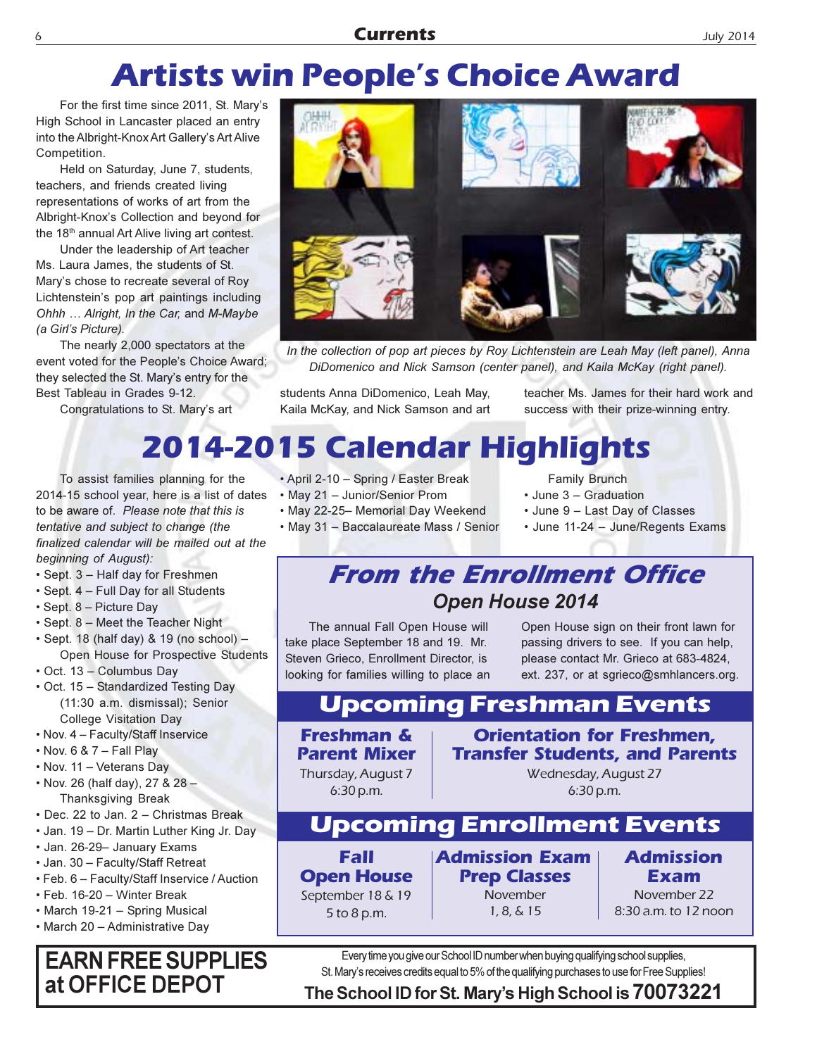## **Artists win People's Choice Award**

For the first time since 2011, St. Mary's High School in Lancaster placed an entry into the Albright-Knox Art Gallery's Art Alive Competition.

Held on Saturday, June 7, students, teachers, and friends created living representations of works of art from the Albright-Knox's Collection and beyond for the 18<sup>th</sup> annual Art Alive living art contest.

Under the leadership of Art teacher Ms. Laura James, the students of St. Mary's chose to recreate several of Roy Lichtenstein's pop art paintings including Ohhh ... Alright, In the Car, and M-Maybe (a Girl's Picture).

The nearly 2,000 spectators at the event voted for the People's Choice Award; they selected the St. Mary's entry for the Best Tableau in Grades 9-12.

Congratulations to St. Mary's art



In the collection of pop art pieces by Roy Lichtenstein are Leah May (left panel), Anna DiDomenico and Nick Samson (center panel), and Kaila McKay (right panel).

students Anna DiDomenico, Leah May, Kaila McKay, and Nick Samson and art teacher Ms. James for their hard work and success with their prize-winning entry.

## 2014-2015 Calendar Highlights

To assist families planning for the 2014-15 school year, here is a list of dates to be aware of. Please note that this is tentative and subject to change (the finalized calendar will be mailed out at the beginning of August):

- Sept. 3 Half day for Freshmen
- Sept. 4 Full Day for all Students
- · Sept. 8 Picture Day
- Sept. 8 Meet the Teacher Night
- · Sept. 18 (half day) & 19 (no school) -Open House for Prospective Students
- Oct. 13 Columbus Day
- Oct. 15 Standardized Testing Day (11:30 a.m. dismissal); Senior **College Visitation Day**
- . Nov. 4 Faculty/Staff Inservice
- $\cdot$  Nov. 6 & 7 Fall Play
- Nov. 11 Veterans Day
- Nov. 26 (half day), 27 & 28 -**Thanksgiving Break**
- Dec. 22 to Jan. 2 Christmas Break
- Jan. 19 Dr. Martin Luther King Jr. Day
- Jan. 26-29- January Exams
- Jan. 30 Faculty/Staff Retreat
- Feb. 6 Faculty/Staff Inservice / Auction
- Feb. 16-20 Winter Break
- March 19-21 Spring Musical
- March 20 Administrative Day

### **EARN FREE SUPPLIES** at OFFICE DEPOT

• April 2-10 - Spring / Easter Break

- May 21 Junior/Senior Prom
- · May 22-25- Memorial Day Weekend
- 
- · May 31 Baccalaureate Mass / Senior
- Family Brunch • June 3 - Graduation
- June 9 Last Day of Classes
- June 11-24 June/Regents Exams

### **From the Enrollment Office Open House 2014**

The annual Fall Open House will take place September 18 and 19. Mr. Steven Grieco, Enrollment Director, is looking for families willing to place an Open House sign on their front lawn for passing drivers to see. If you can help, please contact Mr. Grieco at 683-4824, ext. 237, or at sgrieco@smhlancers.org.

### **Upcoming Freshman Events**

**Freshman & Parent Mixer** Thursday, August 7 6:30 p.m.

**Orientation for Freshmen. Transfer Students, and Parents** 

> Wednesday, August 27 6:30 p.m.

### **Upcoming Enrollment Events**

**Fall Open House** September 18 & 19 5 to 8 p.m.

**Admission Exam Prep Classes** November  $1, 8, 6, 15$ 

**Admission Exam** November 22

8:30 a.m. to 12 noon

Every time you give our School ID number when buying qualifying school supplies, St. Mary's receives credits equal to 5% of the qualifying purchases to use for Free Supplies!

The School ID for St. Mary's High School is 70073221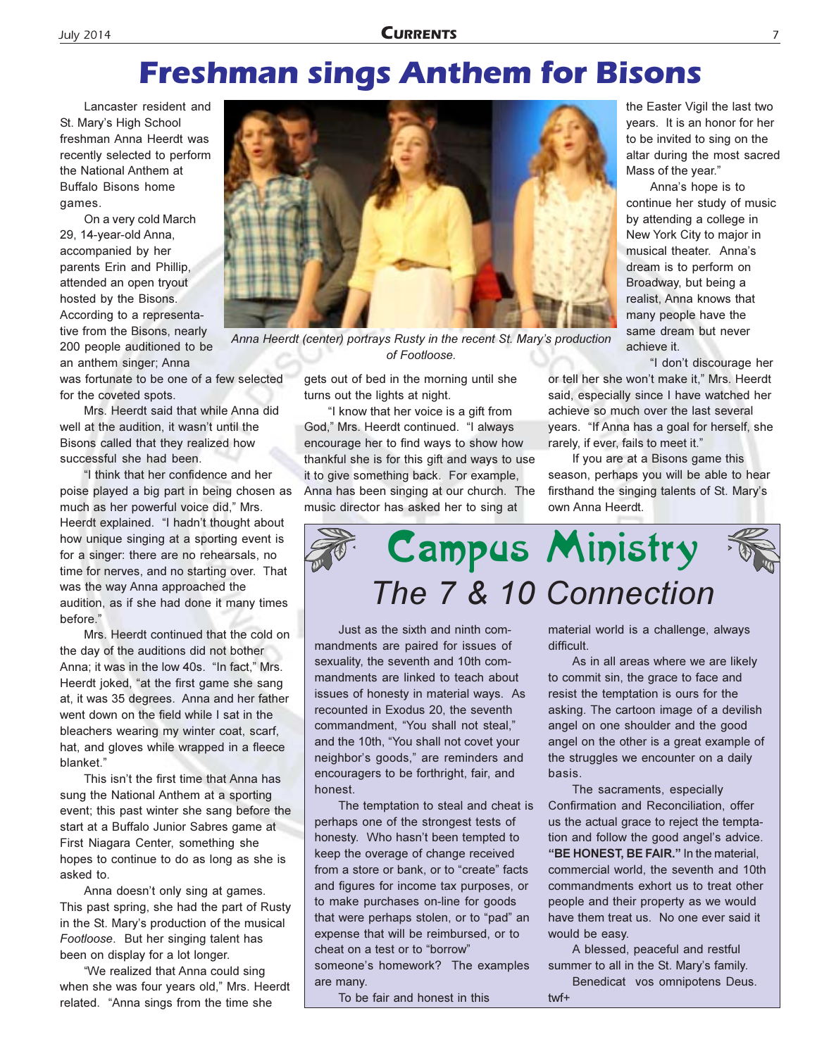### **Freshman sings Anthem for Bisons**

Lancaster resident and St. Mary's High School freshman Anna Heerdt was recently selected to perform the National Anthem at **Buffalo Bisons home** games.

On a very cold March 29, 14-year-old Anna, accompanied by her parents Erin and Phillip, attended an open tryout hosted by the Bisons. According to a representative from the Bisons, nearly 200 people auditioned to be an anthem singer: Anna

was fortunate to be one of a few selected for the coveted spots.

Mrs. Heerdt said that while Anna did well at the audition, it wasn't until the Bisons called that they realized how successful she had been.

"I think that her confidence and her poise played a big part in being chosen as much as her powerful voice did," Mrs. Heerdt explained. "I hadn't thought about how unique singing at a sporting event is for a singer: there are no rehearsals, no time for nerves, and no starting over. That was the way Anna approached the audition, as if she had done it many times before."

Mrs. Heerdt continued that the cold on the day of the auditions did not bother Anna; it was in the low 40s. "In fact," Mrs. Heerdt joked, "at the first game she sang at, it was 35 degrees. Anna and her father went down on the field while I sat in the bleachers wearing my winter coat, scarf, hat, and gloves while wrapped in a fleece blanket."

This isn't the first time that Anna has sung the National Anthem at a sporting event; this past winter she sang before the start at a Buffalo Junior Sabres game at First Niagara Center, something she hopes to continue to do as long as she is asked to.

Anna doesn't only sing at games. This past spring, she had the part of Rusty in the St. Mary's production of the musical Footloose. But her singing talent has been on display for a lot longer.

"We realized that Anna could sing when she was four years old," Mrs. Heerdt related. "Anna sings from the time she



Anna Heerdt (center) portrays Rusty in the recent St. Mary's production of Footloose.

gets out of bed in the morning until she turns out the lights at night.

"I know that her voice is a gift from God," Mrs. Heerdt continued. "I always encourage her to find ways to show how thankful she is for this gift and ways to use it to give something back. For example, Anna has been singing at our church. The music director has asked her to sing at

the Easter Vigil the last two years. It is an honor for her to be invited to sing on the altar during the most sacred Mass of the year."

Anna's hope is to continue her study of music by attending a college in New York City to major in musical theater. Anna's dream is to perform on Broadway, but being a realist, Anna knows that many people have the same dream but never achieve it.

"I don't discourage her

or tell her she won't make it," Mrs. Heerdt said, especially since I have watched her achieve so much over the last several years. "If Anna has a goal for herself, she rarely, if ever, fails to meet it."

If you are at a Bisons game this season, perhaps you will be able to hear firsthand the singing talents of St. Mary's own Anna Heerdt.

## **Campus Ministry** The 7 & 10 Connection



Just as the sixth and ninth commandments are paired for issues of sexuality, the seventh and 10th commandments are linked to teach about issues of honesty in material ways. As recounted in Exodus 20, the seventh commandment, "You shall not steal," and the 10th, "You shall not covet your neighbor's goods," are reminders and encouragers to be forthright, fair, and honest.

The temptation to steal and cheat is perhaps one of the strongest tests of honesty. Who hasn't been tempted to keep the overage of change received from a store or bank, or to "create" facts and figures for income tax purposes, or to make purchases on-line for goods that were perhaps stolen, or to "pad" an expense that will be reimbursed, or to cheat on a test or to "borrow" someone's homework? The examples are many.

material world is a challenge, always difficult

As in all areas where we are likely to commit sin, the grace to face and resist the temptation is ours for the asking. The cartoon image of a devilish angel on one shoulder and the good angel on the other is a great example of the struggles we encounter on a daily basis.

The sacraments, especially Confirmation and Reconciliation, offer us the actual grace to reject the temptation and follow the good angel's advice. "BE HONEST, BE FAIR." In the material, commercial world, the seventh and 10th commandments exhort us to treat other people and their property as we would have them treat us. No one ever said it would be easy.

A blessed, peaceful and restful summer to all in the St. Mary's family. Benedicat vos omnipotens Deus.

 $twf+$ 

To be fair and honest in this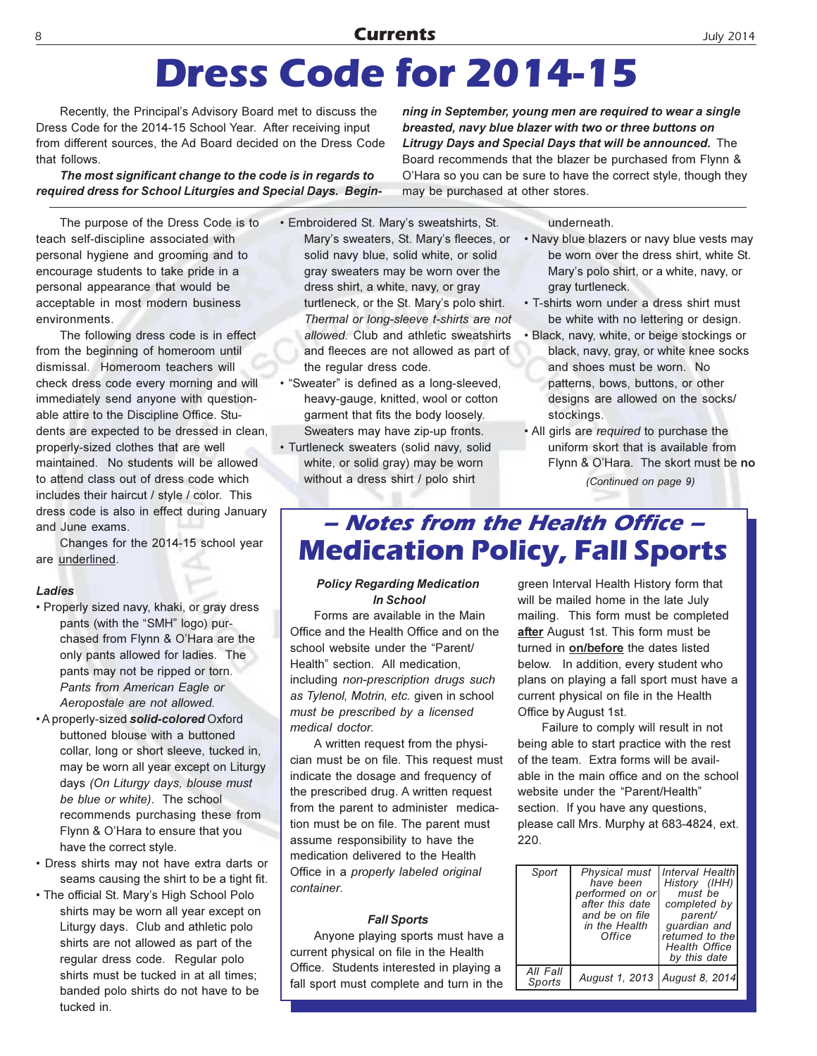### **Currents**

## **Dress Code for 2014-15**

Recently, the Principal's Advisory Board met to discuss the Dress Code for the 2014-15 School Year. After receiving input from different sources, the Ad Board decided on the Dress Code that follows.

The most significant change to the code is in regards to required dress for School Liturgies and Special Days. Begin-

The purpose of the Dress Code is to teach self-discipline associated with personal hygiene and grooming and to encourage students to take pride in a personal appearance that would be acceptable in most modern business environments.

The following dress code is in effect from the beginning of homeroom until dismissal. Homeroom teachers will check dress code every morning and will immediately send anyone with questionable attire to the Discipline Office. Students are expected to be dressed in clean. properly-sized clothes that are well maintained. No students will be allowed to attend class out of dress code which includes their haircut / style / color. This dress code is also in effect during January and June exams.

Changes for the 2014-15 school year are underlined.

#### Ladies

- Properly sized navy, khaki, or gray dress pants (with the "SMH" logo) purchased from Flynn & O'Hara are the only pants allowed for ladies. The pants may not be ripped or torn. Pants from American Eagle or Aeropostale are not allowed.
- A properly-sized solid-colored Oxford buttoned blouse with a buttoned collar, long or short sleeve, tucked in, may be worn all year except on Liturgy days (On Liturgy days, blouse must be blue or white). The school recommends purchasing these from Flynn & O'Hara to ensure that you have the correct style.
- Dress shirts may not have extra darts or seams causing the shirt to be a tight fit.
- The official St. Mary's High School Polo shirts may be worn all year except on Liturgy days. Club and athletic polo shirts are not allowed as part of the regular dress code. Regular polo shirts must be tucked in at all times; banded polo shirts do not have to be tucked in.

· Embroidered St. Mary's sweatshirts, St. Mary's sweaters, St. Mary's fleeces, or solid navy blue, solid white, or solid gray sweaters may be worn over the dress shirt, a white, navy, or gray turtleneck, or the St. Mary's polo shirt. Thermal or long-sleeve t-shirts are not allowed. Club and athletic sweatshirts and fleeces are not allowed as part of the regular dress code.

· "Sweater" is defined as a long-sleeved, heavy-gauge, knitted, wool or cotton garment that fits the body loosely. Sweaters may have zip-up fronts.

· Turtleneck sweaters (solid navy, solid white, or solid gray) may be worn without a dress shirt / polo shirt

ning in September, young men are required to wear a single breasted, navy blue blazer with two or three buttons on Litrugy Days and Special Days that will be announced. The Board recommends that the blazer be purchased from Flynn & O'Hara so you can be sure to have the correct style, though they may be purchased at other stores.

underneath.

- . Navy blue blazers or navy blue vests may be worn over the dress shirt, white St. Mary's polo shirt, or a white, navy, or gray turtleneck.
- . T-shirts worn under a dress shirt must be white with no lettering or design.
- · Black, navy, white, or beige stockings or black, navy, gray, or white knee socks and shoes must be worn. No patterns, bows, buttons, or other designs are allowed on the socks/ stockings.
- . All girls are required to purchase the uniform skort that is available from Flynn & O'Hara. The skort must be no (Continued on page 9)

### - Notes from the Health Office -**Medication Policy, Fall Sports**

#### **Policy Regarding Medication** In School

Forms are available in the Main Office and the Health Office and on the school website under the "Parent/ Health" section. All medication, including non-prescription drugs such as Tylenol, Motrin, etc. given in school must be prescribed by a licensed medical doctor.

A written request from the physician must be on file. This request must indicate the dosage and frequency of the prescribed drug. A written request from the parent to administer medication must be on file. The parent must assume responsibility to have the medication delivered to the Health Office in a properly labeled original container.

#### **Fall Sports**

Anyone playing sports must have a current physical on file in the Health Office. Students interested in playing a fall sport must complete and turn in the

green Interval Health History form that will be mailed home in the late July mailing. This form must be completed after August 1st. This form must be turned in on/before the dates listed below. In addition, every student who plans on playing a fall sport must have a current physical on file in the Health Office by August 1st.

Failure to comply will result in not being able to start practice with the rest of the team. Extra forms will be available in the main office and on the school website under the "Parent/Health" section. If you have any questions, please call Mrs. Murphy at 683-4824, ext.  $220$ 

| Sport              | have been<br>performed on or<br>after this date<br>and be on file<br>in the Health<br>Office | Physical must   Interval Health<br>History (IHH)<br>must be<br>completed by<br>parent/<br>quardian and<br>returned to the<br><b>Health Office</b><br>by this date |
|--------------------|----------------------------------------------------------------------------------------------|-------------------------------------------------------------------------------------------------------------------------------------------------------------------|
| All Fall<br>Sports | August 1, 2013   August 8, 2014                                                              |                                                                                                                                                                   |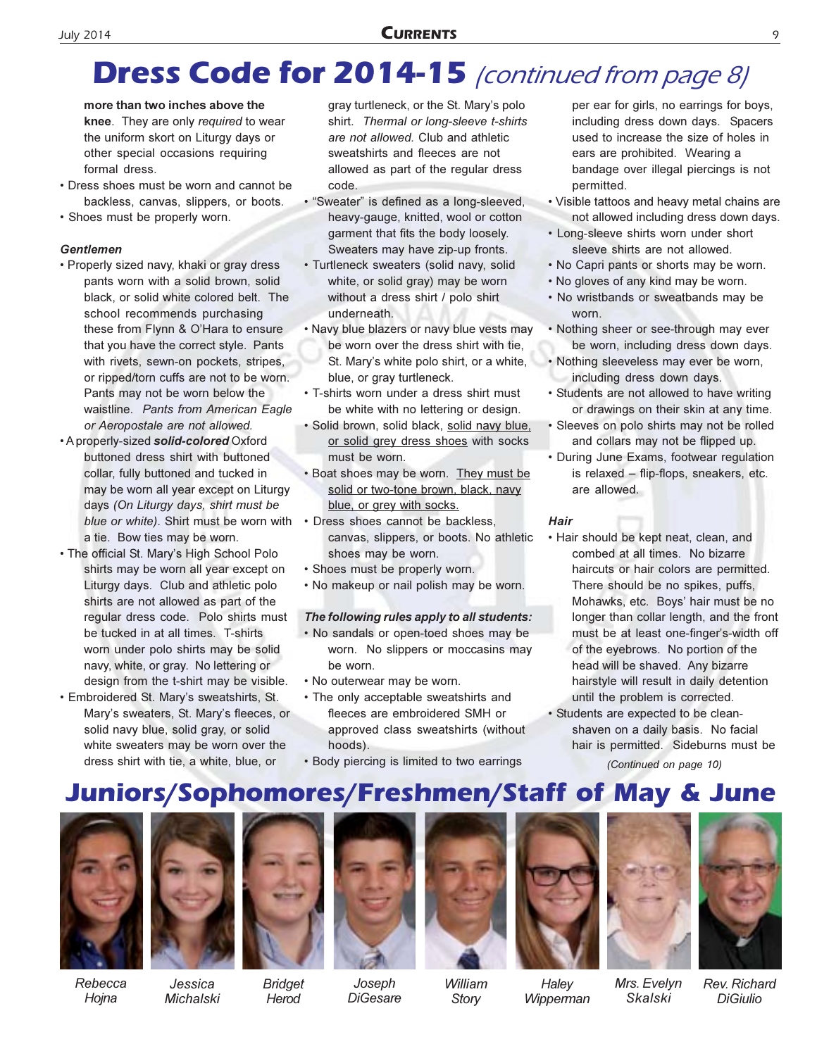### **CURRENTS**

## **Dress Code for 2014-15** (continued from page 8)

more than two inches above the knee. They are only required to wear the uniform skort on Liturgy days or other special occasions requiring formal dress.

- Dress shoes must be worn and cannot be backless, canvas, slippers, or boots.
- · Shoes must be properly worn.

### **Gentlemen**

- Properly sized navy, khaki or gray dress pants worn with a solid brown, solid black, or solid white colored belt. The school recommends purchasing these from Flynn & O'Hara to ensure that you have the correct style. Pants with rivets, sewn-on pockets, stripes, or ripped/torn cuffs are not to be worn. Pants may not be worn below the waistline. Pants from American Eagle or Aeropostale are not allowed.
- . A properly-sized solid-colored Oxford buttoned dress shirt with buttoned collar, fully buttoned and tucked in may be worn all year except on Liturgy days (On Liturgy days, shirt must be blue or white). Shirt must be worn with a tie. Bow ties may be worn.
- . The official St. Mary's High School Polo shirts may be worn all year except on Liturgy days. Club and athletic polo shirts are not allowed as part of the regular dress code. Polo shirts must be tucked in at all times. T-shirts worn under polo shirts may be solid navy, white, or gray. No lettering or design from the t-shirt may be visible.
- · Embroidered St. Mary's sweatshirts, St. Mary's sweaters, St. Mary's fleeces, or solid navy blue, solid gray, or solid white sweaters may be worn over the dress shirt with tie, a white, blue, or

gray turtleneck, or the St. Mary's polo shirt. Thermal or long-sleeve t-shirts are not allowed. Club and athletic sweatshirts and fleeces are not allowed as part of the regular dress code.

- · "Sweater" is defined as a long-sleeved, heavy-gauge, knitted, wool or cotton garment that fits the body loosely. Sweaters may have zip-up fronts.
- · Turtleneck sweaters (solid navy, solid white, or solid gray) may be worn without a dress shirt / polo shirt underneath.
- . Navy blue blazers or navy blue vests may be worn over the dress shirt with tie, St. Mary's white polo shirt, or a white, blue, or gray turtleneck.
- T-shirts worn under a dress shirt must be white with no lettering or design.
- · Solid brown, solid black, solid navy blue, or solid grey dress shoes with socks must be worn.
- . Boat shoes may be worn. They must be solid or two-tone brown, black, navy blue, or grey with socks.
- Dress shoes cannot be backless, canvas, slippers, or boots. No athletic shoes may be worn.
- · Shoes must be properly worn.
- . No makeup or nail polish may be worn.

### The following rules apply to all students:

- . No sandals or open-toed shoes may be worn. No slippers or moccasins may be worn.
- . No outerwear may be worn.
- The only acceptable sweatshirts and fleeces are embroidered SMH or approved class sweatshirts (without hoods).
- Body piercing is limited to two earrings

per ear for girls, no earrings for boys, including dress down days. Spacers used to increase the size of holes in ears are prohibited. Wearing a bandage over illegal piercings is not permitted.

- Visible tattoos and heavy metal chains are not allowed including dress down days.
- Long-sleeve shirts worn under short sleeve shirts are not allowed.
- . No Capri pants or shorts may be worn.
- . No gloves of any kind may be worn.
- No wristbands or sweatbands may be worn
- Nothing sheer or see-through may ever be worn, including dress down days.
- . Nothing sleeveless may ever be worn, including dress down days.
- Students are not allowed to have writing or drawings on their skin at any time.
- Sleeves on polo shirts may not be rolled and collars may not be flipped up.
- During June Exams, footwear regulation is relaxed - flip-flops, sneakers, etc. are allowed.

#### Hair

- Hair should be kept neat, clean, and combed at all times. No bizarre haircuts or hair colors are permitted. There should be no spikes, puffs, Mohawks, etc. Boys' hair must be no longer than collar length, and the front must be at least one-finger's-width off of the eyebrows. No portion of the head will be shaved. Any bizarre hairstyle will result in daily detention until the problem is corrected.
- Students are expected to be cleanshaven on a daily basis. No facial hair is permitted. Sideburns must be (Continued on page 10)

Skalski

### **Juniors/Sophomores/Freshmen/Staff of May & June**





Rebecca Hojna

Jessica Michalski

**Bridget** 

Herod



Joseph DiGesare



William Story Wipperman

Haley





Rev. Richard **DiGiulio** 



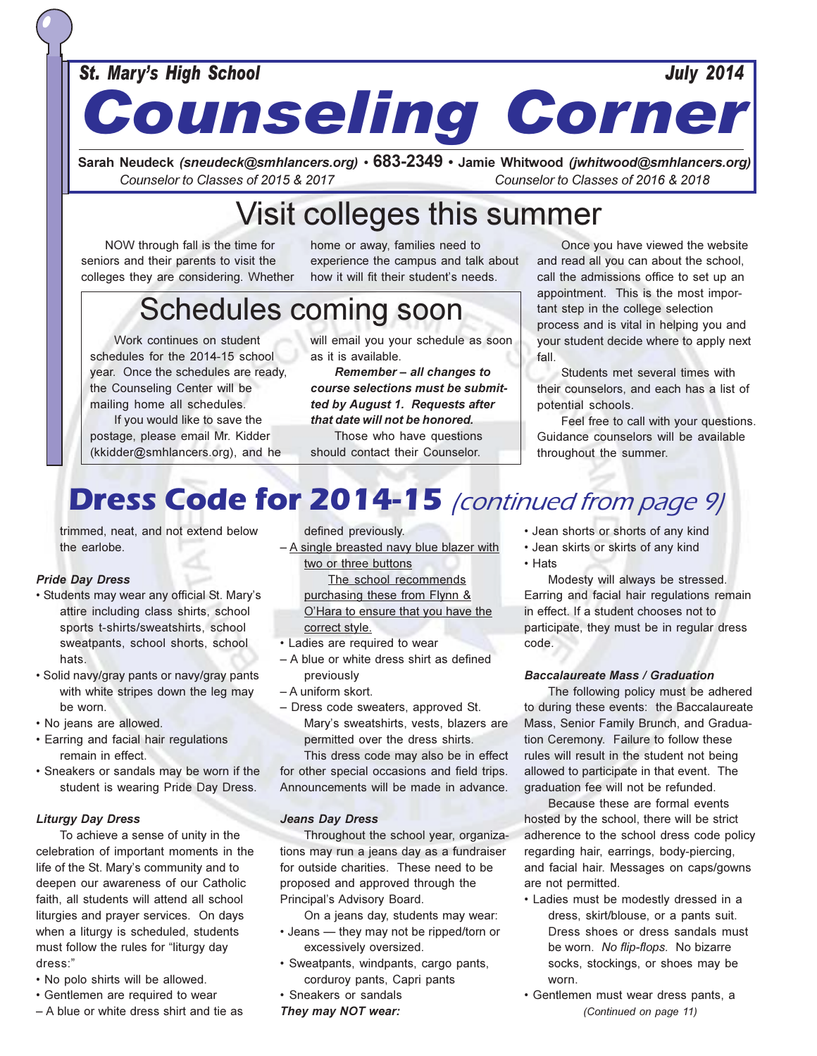### **St. Mary's High School**

## **July 2014 Counseling Corner**

Sarah Neudeck (sneudeck@smhlancers.org) • 683-2349 • Jamie Whitwood (jwhitwood@smhlancers.org) Counselor to Classes of 2015 & 2017 Counselor to Classes of 2016 & 2018

## Visit colleges this summer

NOW through fall is the time for seniors and their parents to visit the colleges they are considering. Whether

home or away, families need to experience the campus and talk about how it will fit their student's needs.

## **Schedules coming soon**

Work continues on student schedules for the 2014-15 school year. Once the schedules are ready. the Counseling Center will be mailing home all schedules.

If you would like to save the postage, please email Mr. Kidder (kkidder@smhlancers.org), and he will email you your schedule as soon as it is available.

Remember - all changes to course selections must be submitted by August 1. Requests after that date will not be honored.

Those who have questions should contact their Counselor.

Once you have viewed the website and read all you can about the school, call the admissions office to set up an appointment. This is the most important step in the college selection process and is vital in helping you and your student decide where to apply next  $fall$ 

Students met several times with their counselors, and each has a list of potential schools.

Feel free to call with your questions. Guidance counselors will be available throughout the summer.

## **Dress Code for 2014-15** (continued from page 9)

trimmed, neat, and not extend below the earlobe.

### **Pride Day Dress**

- · Students may wear any official St. Mary's attire including class shirts, school sports t-shirts/sweatshirts, school sweatpants, school shorts, school hats.
- · Solid navy/gray pants or navy/gray pants with white stripes down the leg may be worn.
- · No jeans are allowed.
- Earring and facial hair regulations remain in effect.
- Sneakers or sandals may be worn if the student is wearing Pride Day Dress.

#### **Liturgy Day Dress**

To achieve a sense of unity in the celebration of important moments in the life of the St. Mary's community and to deepen our awareness of our Catholic faith, all students will attend all school liturgies and prayer services. On days when a liturgy is scheduled, students must follow the rules for "liturgy day dress:"

- . No polo shirts will be allowed.
- Gentlemen are required to wear
- A blue or white dress shirt and tie as

defined previously.

- A single breasted navy blue blazer with two or three buttons

> The school recommends purchasing these from Flynn & O'Hara to ensure that you have the correct style.

- Ladies are required to wear
- A blue or white dress shirt as defined previously
- A uniform skort.
- Dress code sweaters, approved St. Mary's sweatshirts, vests, blazers are permitted over the dress shirts.

This dress code may also be in effect for other special occasions and field trips. Announcements will be made in advance.

#### **Jeans Day Dress**

Throughout the school year, organizations may run a jeans day as a fundraiser for outside charities. These need to be proposed and approved through the Principal's Advisory Board.

On a jeans day, students may wear:

- Jeans they may not be ripped/torn or excessively oversized.
- · Sweatpants, windpants, cargo pants, corduroy pants, Capri pants
- · Sneakers or sandals
- They may NOT wear:

• Jean shorts or shorts of any kind

- Jean skirts or skirts of any kind
- Hats

Modesty will always be stressed. Earring and facial hair regulations remain in effect. If a student chooses not to participate, they must be in regular dress code.

#### **Baccalaureate Mass / Graduation**

The following policy must be adhered to during these events: the Baccalaureate Mass, Senior Family Brunch, and Graduation Ceremony. Failure to follow these rules will result in the student not being allowed to participate in that event. The graduation fee will not be refunded.

Because these are formal events hosted by the school, there will be strict adherence to the school dress code policy regarding hair, earrings, body-piercing, and facial hair. Messages on caps/gowns are not permitted.

- Ladies must be modestly dressed in a dress, skirt/blouse, or a pants suit. Dress shoes or dress sandals must be worn. No flip-flops. No bizarre socks, stockings, or shoes may be worn
- · Gentlemen must wear dress pants, a (Continued on page 11)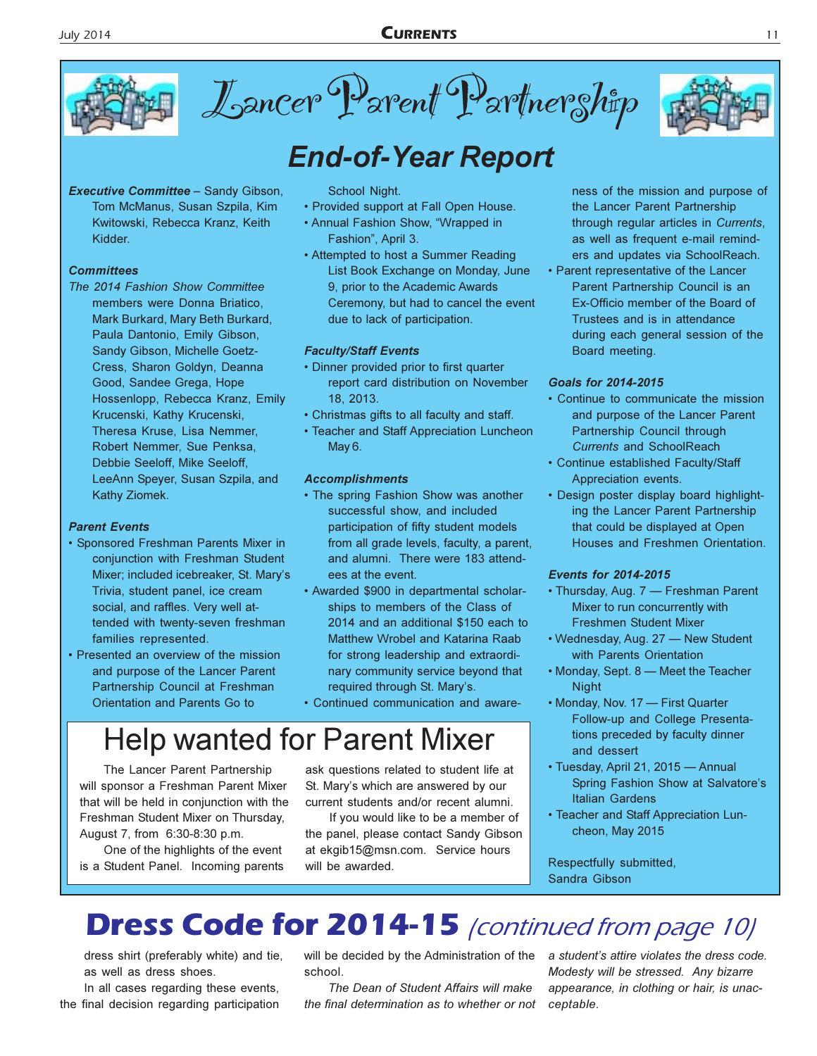

Lancer Parent Partnership



### **Executive Committee - Sandy Gibson,**

Tom McManus, Susan Szpila, Kim Kwitowski, Rebecca Kranz, Keith Kidder.

### **Committees**

The 2014 Fashion Show Committee members were Donna Briatico, Mark Burkard, Mary Beth Burkard, Paula Dantonio, Emily Gibson, Sandy Gibson, Michelle Goetz-Cress, Sharon Goldyn, Deanna Good, Sandee Grega, Hope Hossenlopp, Rebecca Kranz, Emily Krucenski, Kathy Krucenski, Theresa Kruse, Lisa Nemmer, Robert Nemmer, Sue Penksa, Debbie Seeloff, Mike Seeloff, LeeAnn Speyer, Susan Szpila, and Kathy Ziomek.

### **Parent Events**

- Sponsored Freshman Parents Mixer in conjunction with Freshman Student Mixer; included icebreaker, St. Mary's Trivia, student panel, ice cream social, and raffles. Very well attended with twenty-seven freshman families represented.
- Presented an overview of the mission and purpose of the Lancer Parent Partnership Council at Freshman Orientation and Parents Go to

### School Night.

- Provided support at Fall Open House.
- Annual Fashion Show, "Wrapped in Fashion", April 3.
- Attempted to host a Summer Reading List Book Exchange on Monday, June 9, prior to the Academic Awards Ceremony, but had to cancel the event due to lack of participation.

### **Faculty/Staff Events**

- Dinner provided prior to first quarter report card distribution on November 18.2013.
- Christmas gifts to all faculty and staff.
- Teacher and Staff Appreciation Luncheon May 6.

#### **Accomplishments**

- The spring Fashion Show was another successful show, and included participation of fifty student models from all grade levels, faculty, a parent, and alumni. There were 183 attendees at the event.
- Awarded \$900 in departmental scholarships to members of the Class of 2014 and an additional \$150 each to Matthew Wrobel and Katarina Raab for strong leadership and extraordinary community service beyond that required through St. Mary's.
- · Continued communication and aware-

## **Help wanted for Parent Mixer**

The Lancer Parent Partnership will sponsor a Freshman Parent Mixer that will be held in conjunction with the Freshman Student Mixer on Thursday, August 7, from 6:30-8:30 p.m.

One of the highlights of the event is a Student Panel. Incoming parents ask questions related to student life at St. Mary's which are answered by our current students and/or recent alumni.

If you would like to be a member of the panel, please contact Sandy Gibson at ekgib15@msn.com. Service hours will be awarded.

ness of the mission and purpose of the Lancer Parent Partnership through regular articles in Currents, as well as frequent e-mail reminders and updates via SchoolReach.

• Parent representative of the Lancer Parent Partnership Council is an Ex-Officio member of the Board of Trustees and is in attendance during each general session of the Board meeting.

#### **Goals for 2014-2015**

- Continue to communicate the mission and purpose of the Lancer Parent Partnership Council through **Currents and SchoolReach**
- Continue established Faculty/Staff Appreciation events.
- Design poster display board highlighting the Lancer Parent Partnership that could be displayed at Open Houses and Freshmen Orientation.

#### **Events for 2014-2015**

- Thursday, Aug. 7 Freshman Parent Mixer to run concurrently with **Freshmen Student Mixer**
- Wednesday, Aug. 27 New Student with Parents Orientation
- Monday, Sept. 8 Meet the Teacher **Night**
- Monday, Nov. 17 First Quarter Follow-up and College Presentations preceded by faculty dinner and dessert
- Tuesday, April 21, 2015 Annual Spring Fashion Show at Salvatore's **Italian Gardens**
- Teacher and Staff Appreciation Luncheon, May 2015

Respectfully submitted, Sandra Gibson

## **Dress Code for 2014-15** (continued from page 10)

dress shirt (preferably white) and tie, as well as dress shoes.

In all cases regarding these events, the final decision regarding participation will be decided by the Administration of the school

The Dean of Student Affairs will make the final determination as to whether or not

a student's attire violates the dress code. Modesty will be stressed. Any bizarre appearance, in clothing or hair, is unacceptable.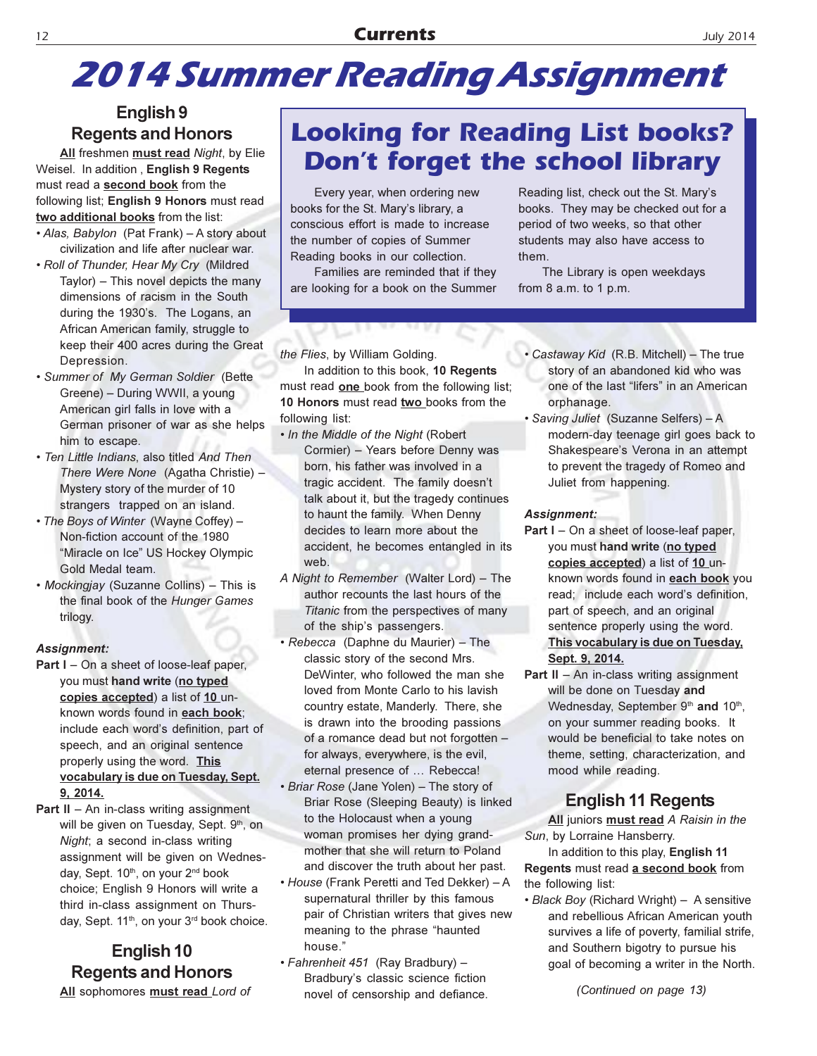## **2014 Summer Reading Assignment**

### English 9 **Regents and Honors**

All freshmen must read Night, by Elie Weisel. In addition, English 9 Regents must read a second book from the following list; English 9 Honors must read two additional books from the list:

- Alas, Babylon (Pat Frank) A story about civilization and life after nuclear war.
- . Roll of Thunder, Hear My Cry (Mildred Taylor) - This novel depicts the many dimensions of racism in the South during the 1930's. The Logans, an African American family, struggle to keep their 400 acres during the Great Depression.
- · Summer of My German Soldier (Bette Greene) - During WWII, a young American girl falls in love with a German prisoner of war as she helps him to escape.
- · Ten Little Indians, also titled And Then There Were None (Agatha Christie) -Mystery story of the murder of 10 strangers trapped on an island.
- The Boys of Winter (Wayne Coffey) -Non-fiction account of the 1980 "Miracle on Ice" US Hockey Olympic Gold Medal team.
- Mockingjay (Suzanne Collins) This is the final book of the Hunger Games trilogy.

### **Assignment:**

- **Part I** On a sheet of loose-leaf paper, you must hand write (no typed copies accepted) a list of 10 unknown words found in each book; include each word's definition, part of speech, and an original sentence properly using the word. This vocabulary is due on Tuesday, Sept. 9, 2014.
- **Part II**  $-$  An in-class writing assignment will be given on Tuesday, Sept. 9th, on Night; a second in-class writing assignment will be given on Wednesday, Sept. 10<sup>th</sup>, on your 2<sup>nd</sup> book choice; English 9 Honors will write a third in-class assignment on Thursday, Sept. 11<sup>th</sup>, on your 3<sup>rd</sup> book choice.

### English 10 **Regents and Honors**

All sophomores must read Lord of

### **Looking for Reading List books? Don't forget the school library**

Every year, when ordering new books for the St. Mary's library, a conscious effort is made to increase the number of copies of Summer Reading books in our collection.

Families are reminded that if they are looking for a book on the Summer

Reading list, check out the St. Mary's books. They may be checked out for a period of two weeks, so that other students may also have access to them.

The Library is open weekdays from  $8$  a.m. to  $1$  p.m.

the Flies, by William Golding.

In addition to this book, 10 Regents must read one book from the following list; 10 Honors must read two books from the following list:

- . In the Middle of the Night (Robert Cormier) - Years before Denny was born, his father was involved in a tragic accident. The family doesn't talk about it, but the tragedy continues to haunt the family. When Denny decides to learn more about the accident, he becomes entangled in its web.
- A Night to Remember (Walter Lord) The author recounts the last hours of the Titanic from the perspectives of many of the ship's passengers.
- Rebecca (Daphne du Maurier) The classic story of the second Mrs. DeWinter, who followed the man she loved from Monte Carlo to his lavish country estate, Manderly. There, she is drawn into the brooding passions of a romance dead but not forgotten for always, everywhere, is the evil, eternal presence of ... Rebecca!
- Briar Rose (Jane Yolen) The story of Briar Rose (Sleeping Beauty) is linked to the Holocaust when a young woman promises her dying grandmother that she will return to Poland and discover the truth about her past.
- House (Frank Peretti and Ted Dekker) A supernatural thriller by this famous pair of Christian writers that gives new meaning to the phrase "haunted house."
- · Fahrenheit 451 (Ray Bradbury) -Bradbury's classic science fiction novel of censorship and defiance.
- Castaway Kid (R.B. Mitchell) The true story of an abandoned kid who was one of the last "lifers" in an American orphanage.
- · Saving Juliet (Suzanne Selfers) A modern-day teenage girl goes back to Shakespeare's Verona in an attempt to prevent the tragedy of Romeo and Juliet from happening.

### Assignment:

- **Part I** On a sheet of loose-leaf paper, you must hand write (no typed copies accepted) a list of 10 unknown words found in each book you read; include each word's definition, part of speech, and an original sentence properly using the word. This vocabulary is due on Tuesday, Sept. 9, 2014.
- Part II An in-class writing assignment will be done on Tuesday and Wednesday, September 9th and 10th, on your summer reading books. It would be beneficial to take notes on theme, setting, characterization, and mood while reading.

### **English 11 Regents**

All juniors must read A Raisin in the Sun, by Lorraine Hansberry.

In addition to this play, English 11 Regents must read a second book from the following list:

• Black Boy (Richard Wright) - A sensitive and rebellious African American youth survives a life of poverty, familial strife, and Southern bigotry to pursue his goal of becoming a writer in the North.

(Continued on page 13)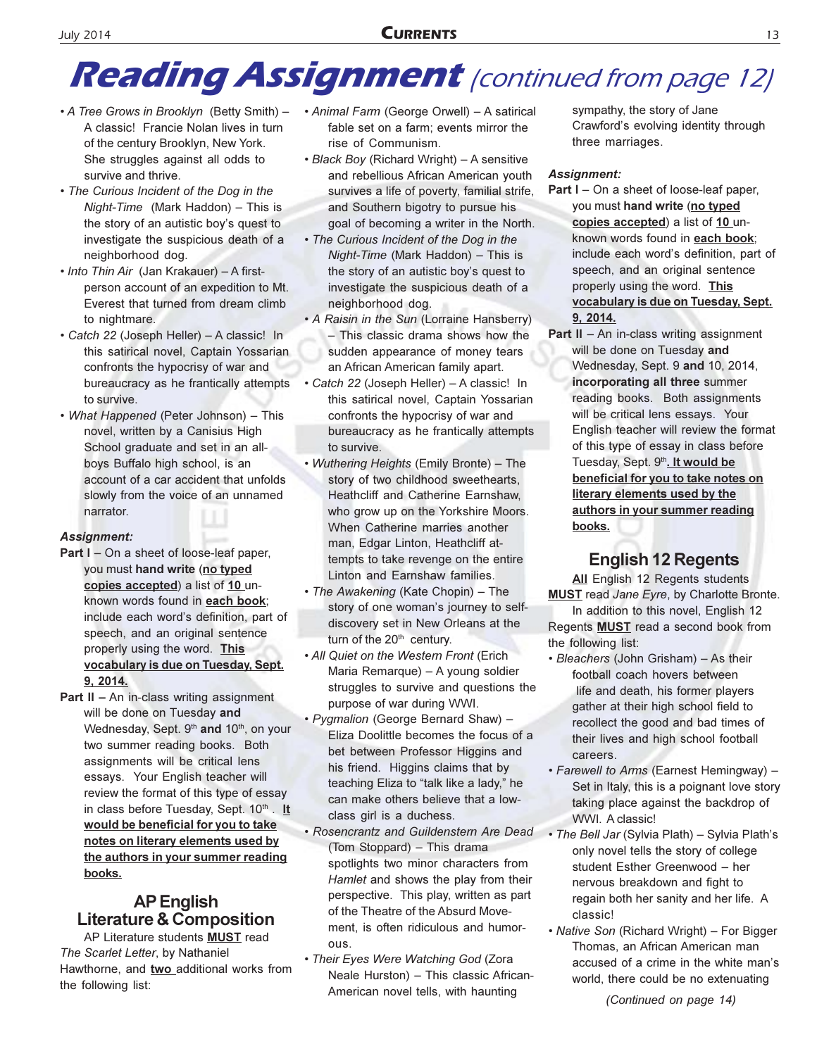## **Reading Assignment** (continued from page 12)

- A Tree Grows in Brooklyn (Betty Smith) -A classic! Francie Nolan lives in turn of the century Brooklyn, New York. She struggles against all odds to survive and thrive.
- The Curious Incident of the Dog in the Night-Time (Mark Haddon) - This is the story of an autistic boy's quest to investigate the suspicious death of a neighborhood dog.
- Into Thin Air (Jan Krakauer) A firstperson account of an expedition to Mt. Everest that turned from dream climb to nightmare.
- · Catch 22 (Joseph Heller) A classic! In this satirical novel, Captain Yossarian confronts the hypocrisy of war and bureaucracy as he frantically attempts to survive.
- What Happened (Peter Johnson) This novel, written by a Canisius High School graduate and set in an allboys Buffalo high school, is an account of a car accident that unfolds slowly from the voice of an unnamed narrator.

### **Assignment:**

- Part I On a sheet of loose-leaf paper. you must hand write (no typed copies accepted) a list of 10 unknown words found in each book; include each word's definition, part of speech, and an original sentence properly using the word. This vocabulary is due on Tuesday, Sept. 9, 2014.
- **Part II An in-class writing assignment** will be done on Tuesday and Wednesday, Sept. 9th and 10th, on your two summer reading books. Both assignments will be critical lens essays. Your English teacher will review the format of this type of essay in class before Tuesday, Sept. 10<sup>th</sup>. It would be beneficial for you to take notes on literary elements used by the authors in your summer reading books.

### **AP English Literature & Composition**

AP Literature students MUST read The Scarlet Letter, by Nathaniel Hawthorne, and two\_additional works from the following list:

- Animal Farm (George Orwell) A satirical fable set on a farm; events mirror the rise of Communism.
- Black Boy (Richard Wright) A sensitive and rebellious African American youth survives a life of poverty, familial strife, and Southern bigotry to pursue his goal of becoming a writer in the North.
- The Curious Incident of the Dog in the Night-Time (Mark Haddon) - This is the story of an autistic boy's quest to investigate the suspicious death of a neighborhood dog.
- A Raisin in the Sun (Lorraine Hansberry) - This classic drama shows how the sudden appearance of money tears an African American family apart.
- Catch 22 (Joseph Heller) A classic! In this satirical novel, Captain Yossarian confronts the hypocrisy of war and bureaucracy as he frantically attempts to survive.
- Wuthering Heights (Emily Bronte) The story of two childhood sweethearts, Heathcliff and Catherine Earnshaw, who grow up on the Yorkshire Moors. When Catherine marries another man, Edgar Linton, Heathcliff attempts to take revenge on the entire Linton and Earnshaw families.
- The Awakening (Kate Chopin) The story of one woman's journey to selfdiscovery set in New Orleans at the turn of the 20<sup>th</sup> century.
- All Quiet on the Western Front (Erich Maria Remarque) - A young soldier struggles to survive and questions the purpose of war during WWI.
- · Pygmalion (George Bernard Shaw) -Eliza Doolittle becomes the focus of a bet between Professor Higgins and his friend. Higgins claims that by teaching Eliza to "talk like a lady," he can make others believe that a lowclass girl is a duchess.
- · Rosencrantz and Guildenstern Are Dead (Tom Stoppard) - This drama spotlights two minor characters from Hamlet and shows the play from their perspective. This play, written as part of the Theatre of the Absurd Movement, is often ridiculous and humorous.
- Their Eyes Were Watching God (Zora Neale Hurston) - This classic African-American novel tells, with haunting

sympathy, the story of Jane Crawford's evolving identity through three marriages.

### **Assignment:**

- Part I On a sheet of loose-leaf paper, you must hand write (no typed copies accepted) a list of 10 unknown words found in each book; include each word's definition, part of speech, and an original sentence properly using the word. This vocabulary is due on Tuesday, Sept. 9.2014.
- **Part II**  $-$  An in-class writing assignment will be done on Tuesday and Wednesday, Sept. 9 and 10, 2014, incorporating all three summer reading books. Both assignments will be critical lens essays. Your English teacher will review the format of this type of essay in class before Tuesday, Sept. 9th. It would be beneficial for you to take notes on literary elements used by the authors in your summer reading books.

### **English 12 Regents**

All English 12 Regents students **MUST** read Jane Eyre, by Charlotte Bronte.

In addition to this novel, English 12 Regents **MUST** read a second book from the following list:

- Bleachers (John Grisham) As their football coach hovers between life and death, his former players gather at their high school field to recollect the good and bad times of their lives and high school football careers.
- · Farewell to Arms (Earnest Hemingway) -Set in Italy, this is a poignant love story taking place against the backdrop of WWI. A classic!
- · The Bell Jar (Sylvia Plath) Sylvia Plath's only novel tells the story of college student Esther Greenwood - her nervous breakdown and fight to regain both her sanity and her life. A classic!
- Native Son (Richard Wright) For Bigger Thomas, an African American man accused of a crime in the white man's world, there could be no extenuating

(Continued on page 14)

**July 2014**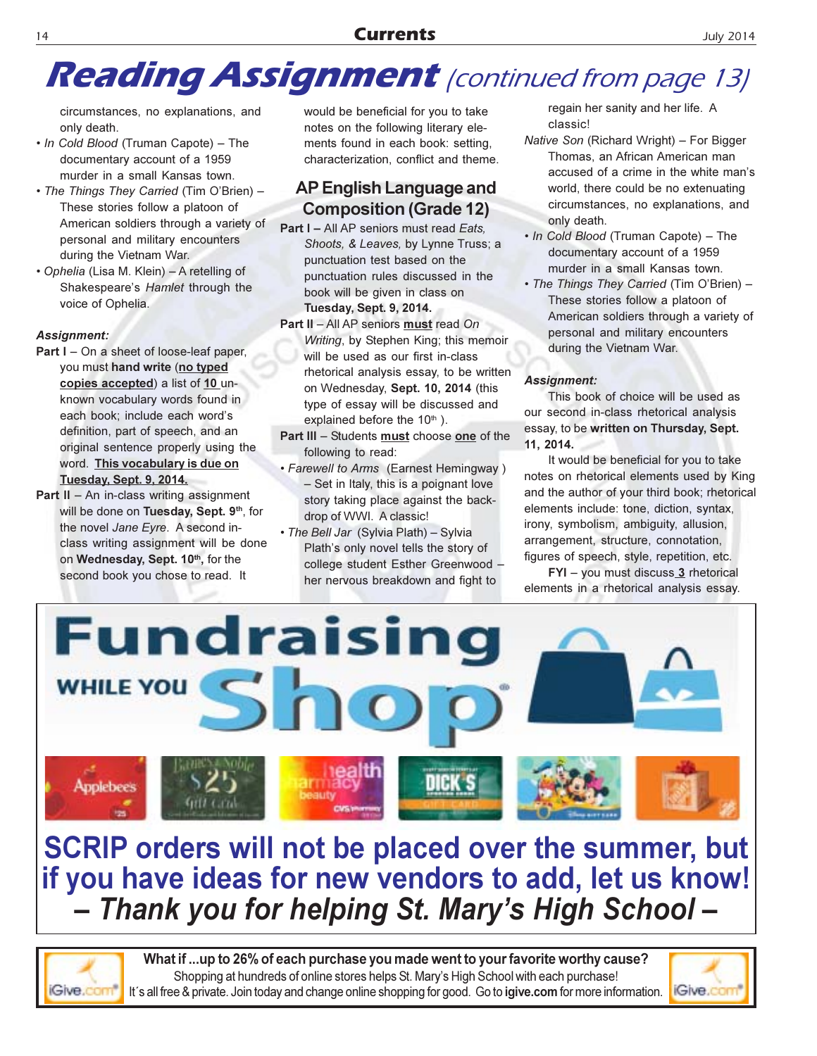## **Reading Assignment** (continued from page 13)

circumstances, no explanations, and only death.

- In Cold Blood (Truman Capote) The documentary account of a 1959 murder in a small Kansas town.
- The Things They Carried (Tim O'Brien) -These stories follow a platoon of American soldiers through a variety of personal and military encounters during the Vietnam War.
- · Ophelia (Lisa M. Klein) A retelling of Shakespeare's Hamlet through the voice of Ophelia.

### **Assignment:**

- Part I On a sheet of loose-leaf paper, you must hand write (no typed copies accepted) a list of 10 unknown vocabulary words found in each book; include each word's definition, part of speech, and an original sentence properly using the word. This vocabulary is due on Tuesday, Sept. 9, 2014.
- **Part II**  $-$  An in-class writing assignment will be done on Tuesday, Sept. 9th, for the novel Jane Eyre. A second inclass writing assignment will be done on Wednesday, Sept. 10th, for the second book you chose to read. It

would be beneficial for you to take notes on the following literary elements found in each book: setting, characterization, conflict and theme.

### AP English Language and **Composition (Grade 12)**

- Part I All AP seniors must read Eats. Shoots, & Leaves, by Lynne Truss; a punctuation test based on the punctuation rules discussed in the book will be given in class on **Tuesday, Sept. 9, 2014.**
- Part II All AP seniors must read On Writing, by Stephen King; this memoir will be used as our first in-class rhetorical analysis essay, to be written on Wednesday, Sept. 10, 2014 (this type of essay will be discussed and explained before the 10<sup>th</sup>).
- Part III Students must choose one of the following to read:
- Farewell to Arms (Earnest Hemingway) - Set in Italy, this is a poignant love story taking place against the backdrop of WWI. A classic!
- . The Bell Jar (Sylvia Plath) Sylvia Plath's only novel tells the story of college student Esther Greenwood her nervous breakdown and fight to

regain her sanity and her life. A classic!

- Native Son (Richard Wright) For Bigger Thomas, an African American man accused of a crime in the white man's world, there could be no extenuating circumstances, no explanations, and only death.
- . In Cold Blood (Truman Capote) The documentary account of a 1959 murder in a small Kansas town.
- The Things They Carried (Tim O'Brien) -These stories follow a platoon of American soldiers through a variety of personal and military encounters during the Vietnam War.

### **Assignment:**

This book of choice will be used as our second in-class rhetorical analysis essay, to be written on Thursday, Sept. 11, 2014.

It would be beneficial for you to take notes on rhetorical elements used by King and the author of your third book; rhetorical elements include: tone, diction, syntax, irony, symbolism, ambiguity, allusion, arrangement, structure, connotation, figures of speech, style, repetition, etc.

FYI - you must discuss 3 rhetorical elements in a rhetorical analysis essay.



SCRIP orders will not be placed over the summer, but if you have ideas for new vendors to add, let us know! - Thank you for helping St. Mary's High School-

Give.co

What if ...up to 26% of each purchase you made went to your favorite worthy cause? Shopping at hundreds of online stores helps St. Mary's High School with each purchase! It's all free & private. Join today and change online shopping for good. Go to igive.com for more information.

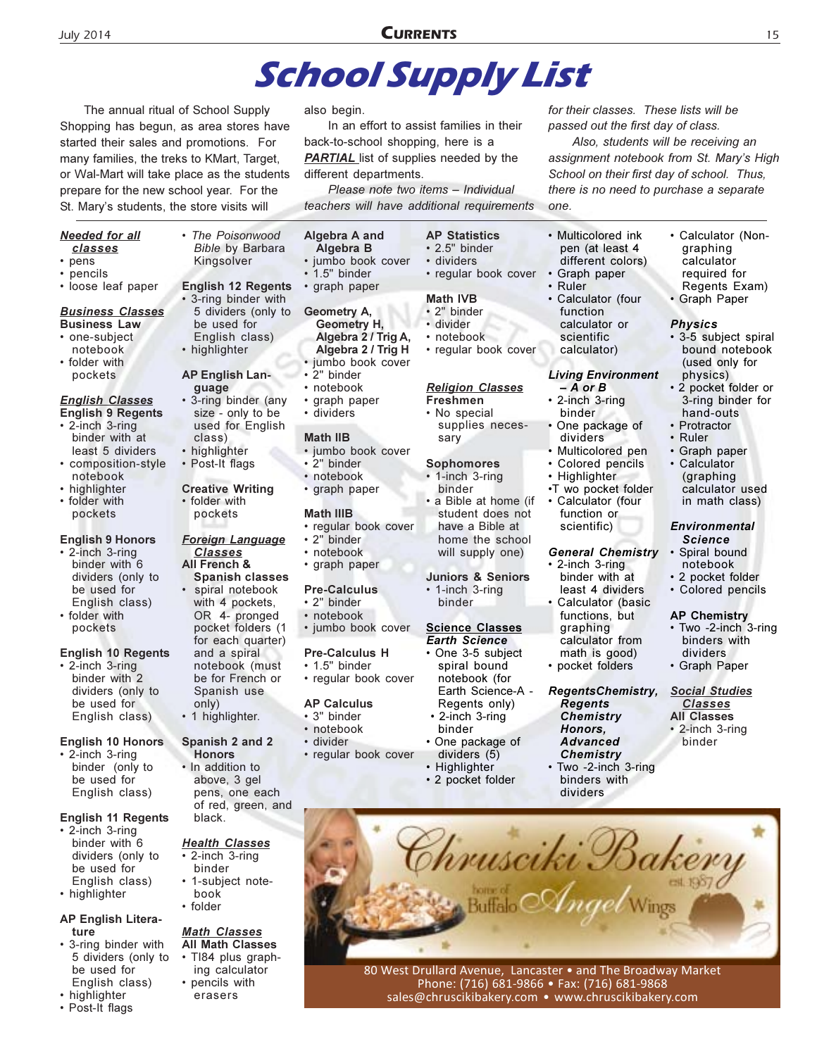## **School Supply List**

The annual ritual of School Supply Shopping has begun, as area stores have started their sales and promotions. For many families, the treks to KMart, Target, or Wal-Mart will take place as the students prepare for the new school year. For the St. Mary's students, the store visits will

The Poisonwood

Kingsolver

**Bible by Barbara** 

**English 12 Regents** 

5 dividers (only to

• 3-ring binder with

English class)

be used for

**AP English Lan-**

size - only to be

used for English

• highlighter

guage • 3-ring binder (any

class)

· highlighter

• Post-It flags

• folder with

pockets

**Classes** 

All French &

**Creative Writing** 

**Foreign Language** 

**Spanish classes** 

spiral notebook

with 4 pockets,

OR 4- pronged

pocket folders (1

for each quarter)

notebook (must

be for French or

and a spiral

Spanish use

Spanish 2 and 2

• 1 highlighter.

**Honors** 

black.

· In addition to

above, 3 gel

**Health Classes** 

• 2-inch 3-ring

**Math Classes** 

• pencils with

erasers

**All Math Classes** 

• TI84 plus graph-

ing calculator

binder • 1-subject note-

book • folder

pens, one each of red, green, and

only)

#### **Needed for all** classes

- pens
- pencils
- · loose leaf paper

#### <u>Business Classes</u> **Business Law**

- one-subject notebook
- folder with pockets

### **English Classes**

- **English 9 Regents** 2-inch 3-ring binder with at least 5 dividers
- composition-style notebook
- highlighter • folder with
- pockets

### **English 9 Honors**

2-inch 3-ring binder with 6 dividers (only to be used for English class) folder with pockets

### **English 10 Regents**

2-inch 3-ring binder with 2 dividers (only to be used for English class)

#### English 10 Honors

• 2-inch 3-ring binder (only to be used for English class)

#### **English 11 Regents**

- 2-inch 3-ring binder with 6 dividers (only to be used for English class)
- highlighter

#### **AP English Litera**ture

- 3-ring binder with 5 dividers (only to be used for English class)
- highlighter
- Post-It flags

#### also begin.

In an effort to assist families in their back-to-school shopping, here is a **PARTIAL** list of supplies needed by the different departments.

Please note two items - Individual teachers will have additional requirements

**AP Statistics** 

· regular book cover

· regular book cover

**Religion Classes** 

supplies neces-

 $\cdot$  2.5" binder

· dividers

**Math IVB** 

· divider

• 2" binder

• notebook

Freshmen

sarv

• No special

**Sophomores** 

binder

1-inch 3-ring

• a Bible at home (if

have a Bible at

will supply one)

**Juniors & Seniors** 

**Science Classes** 

• One 3-5 subject

spiral bound

notebook (for

Regents only)

• 2-inch 3-ring

Earth Science-A -

**Earth Science** 

• 1-inch 3-ring

binder

student does not

home the school

Algebra A and Algebra B jumbo book cover  $\cdot$  1.5" binder

· graph paper

### Geometry A,

- Geometry H, Algebra 2 / Trig A, Algebra 2 / Trig H
- · jumbo book cover
- 2" binder
- notebook
- graph paper
- · dividers

#### Math IIR

- · jumbo book cover
- 2" binder
- notebook
- · graph paper

#### **Math IIIB**

- · regular book cover
- 2" hinder
- notebook
- graph paper

#### **Pre-Calculus**

- 2" binder
- notebook
- · jumbo book cover

#### Pre-Calculus H

- $\cdot$  1.5" binder
- 

- 
- · divider
- · regular book cover
- One package of dividers (5) Highlighter

binder

2 pocket folder

for their classes. These lists will be passed out the first day of class.

Also, students will be receiving an assignment notebook from St. Mary's High School on their first day of school. Thus, there is no need to purchase a separate one.

- Multicolored ink pen (at least 4 different colors) • Graph paper
- Ruler · Calculator (four function calculator or scientific calculator)
- **Living Environment**
- A or B • 2-inch 3-ring binder
- One package of dividers
- Multicolored pen
- Colored pencils
- · Highlighter
- ·T wo pocket folder • Calculator (four function or

scientific)

#### **General Chemistry**

- 2-inch 3-ring binder with at least 4 dividers Calculator (basic
- functions, but graphing calculator from math is good) • pocket folders

**RegentsChemistry, Regents Chemistry** Honors. **Advanced** 

**Chemistry** Two -2-inch 3-ring binders with dividers

• Calculator (Nongraphing calculator required for Regents Exam)

15

**Graph Paper** 

#### **Physics**

- 3-5 subject spiral bound notebook (used only for physics)
- 2 pocket folder or 3-ring binder for hand-outs
- Protractor
- Ruler  $\bullet$
- $\bullet$ Graph paper Calculator (graphing calculator used in math class)

#### **Environmental** Science

- Spiral bound notebook
- 2 pocket folder
- Colored pencils

#### **AP Chemistry**

- Two -2-inch 3-ring binders with dividers
- · Graph Paper

#### **Social Studies Classes All Classes** 2-inch 3-ring binder

rrusciki Bakery  $\frac{1}{2}$  and  $\frac{1}{2}$ 

80 West Drullard Avenue, Lancaster • and The Broadway Market Phone: (716) 681-9866 • Fax: (716) 681-9868 sales@chruscikibakery.com • www.chruscikibakery.com

• regular book cover **AP Calculus** · 3" binder • notebook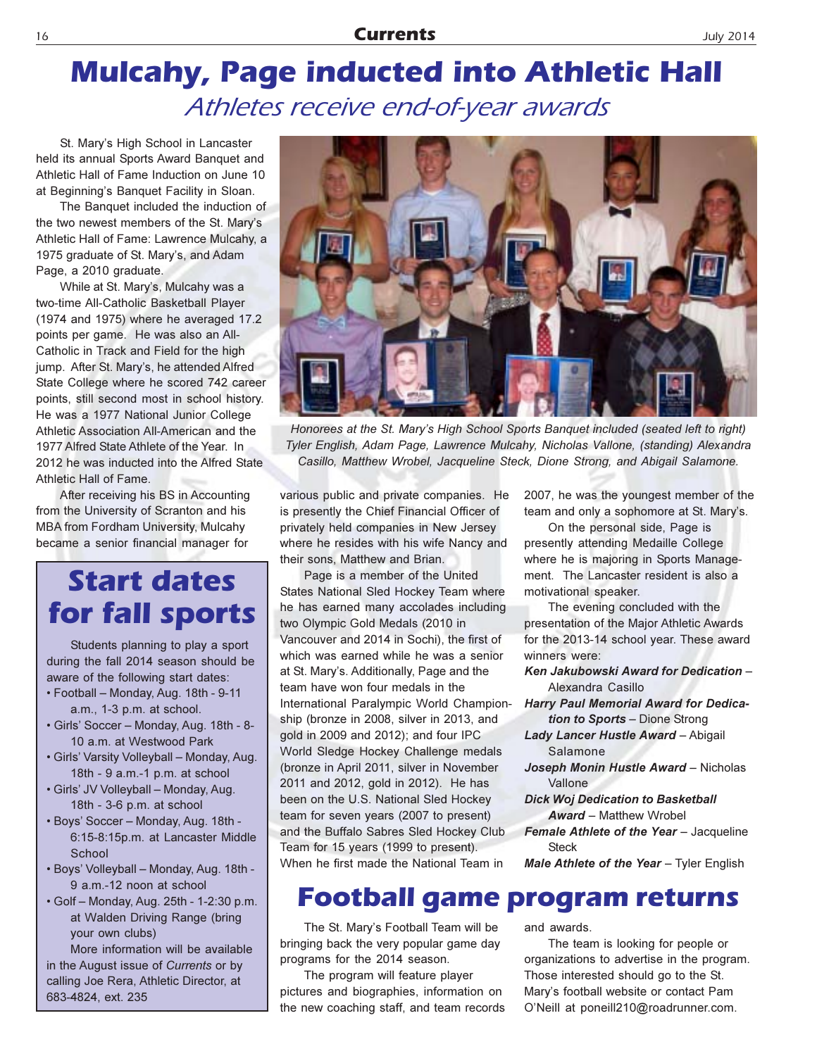## **Mulcahy, Page inducted into Athletic Hall** Athletes receive end-of-year awards

St. Mary's High School in Lancaster held its annual Sports Award Banquet and Athletic Hall of Fame Induction on June 10 at Beginning's Banquet Facility in Sloan.

The Banquet included the induction of the two newest members of the St. Mary's Athletic Hall of Fame: Lawrence Mulcahy, a 1975 graduate of St. Mary's, and Adam Page, a 2010 graduate.

While at St. Mary's, Mulcahy was a two-time All-Catholic Basketball Player (1974 and 1975) where he averaged 17.2 points per game. He was also an All-Catholic in Track and Field for the high jump. After St. Mary's, he attended Alfred State College where he scored 742 career points, still second most in school history. He was a 1977 National Junior College Athletic Association All-American and the 1977 Alfred State Athlete of the Year. In 2012 he was inducted into the Alfred State Athletic Hall of Fame.

After receiving his BS in Accounting from the University of Scranton and his **MBA from Fordham University, Mulcahy** became a senior financial manager for

### **Start dates** for fall sports

Students planning to play a sport during the fall 2014 season should be aware of the following start dates:

- Football Monday, Aug. 18th 9-11 a.m., 1-3 p.m. at school.
- · Girls' Soccer Monday, Aug. 18th 8-10 a.m. at Westwood Park
- . Girls' Varsity Volleyball Monday, Aug. 18th - 9 a.m.-1 p.m. at school
- · Girls' JV Volleyball Monday, Aug. 18th - 3-6 p.m. at school
- Boys' Soccer Monday, Aug. 18th -6:15-8:15p.m. at Lancaster Middle School
- · Boys' Volleyball Monday, Aug. 18th -9 a.m.-12 noon at school
- Golf Monday, Aug. 25th 1-2:30 p.m. at Walden Driving Range (bring your own clubs)

More information will be available in the August issue of Currents or by calling Joe Rera, Athletic Director, at 683-4824, ext. 235



Honorees at the St. Mary's High School Sports Banquet included (seated left to right) Tyler English, Adam Page, Lawrence Mulcahy, Nicholas Vallone, (standing) Alexandra Casillo, Matthew Wrobel, Jacqueline Steck, Dione Strong, and Abigail Salamone.

various public and private companies. He is presently the Chief Financial Officer of privately held companies in New Jersey where he resides with his wife Nancy and their sons, Matthew and Brian.

Page is a member of the United States National Sled Hockey Team where he has earned many accolades including two Olympic Gold Medals (2010 in Vancouver and 2014 in Sochi), the first of which was earned while he was a senior at St. Mary's. Additionally, Page and the team have won four medals in the International Paralympic World Championship (bronze in 2008, silver in 2013, and gold in 2009 and 2012); and four IPC World Sledge Hockey Challenge medals (bronze in April 2011, silver in November 2011 and 2012, gold in 2012). He has been on the U.S. National Sled Hockey team for seven years (2007 to present) and the Buffalo Sabres Sled Hockey Club Team for 15 years (1999 to present). When he first made the National Team in

2007, he was the youngest member of the team and only a sophomore at St. Mary's.

On the personal side, Page is presently attending Medaille College where he is majoring in Sports Management. The Lancaster resident is also a motivational speaker.

The evening concluded with the presentation of the Major Athletic Awards for the 2013-14 school year. These award winners were:

- Ken Jakubowski Award for Dedication -Alexandra Casillo
- **Harry Paul Memorial Award for Dedica**tion to Sports - Dione Strong
- Lady Lancer Hustle Award Abigail Salamone
- Joseph Monin Hustle Award Nicholas Vallone
- **Dick Woj Dedication to Basketball Award - Matthew Wrobel**
- Female Athlete of the Year Jacqueline **Steck**
- Male Athlete of the Year Tyler English

### **Football game program returns**

The St. Mary's Football Team will be bringing back the very popular game day programs for the 2014 season.

The program will feature player pictures and biographies, information on the new coaching staff, and team records and awards.

The team is looking for people or organizations to advertise in the program. Those interested should go to the St. Mary's football website or contact Pam O'Neill at poneill210@roadrunner.com.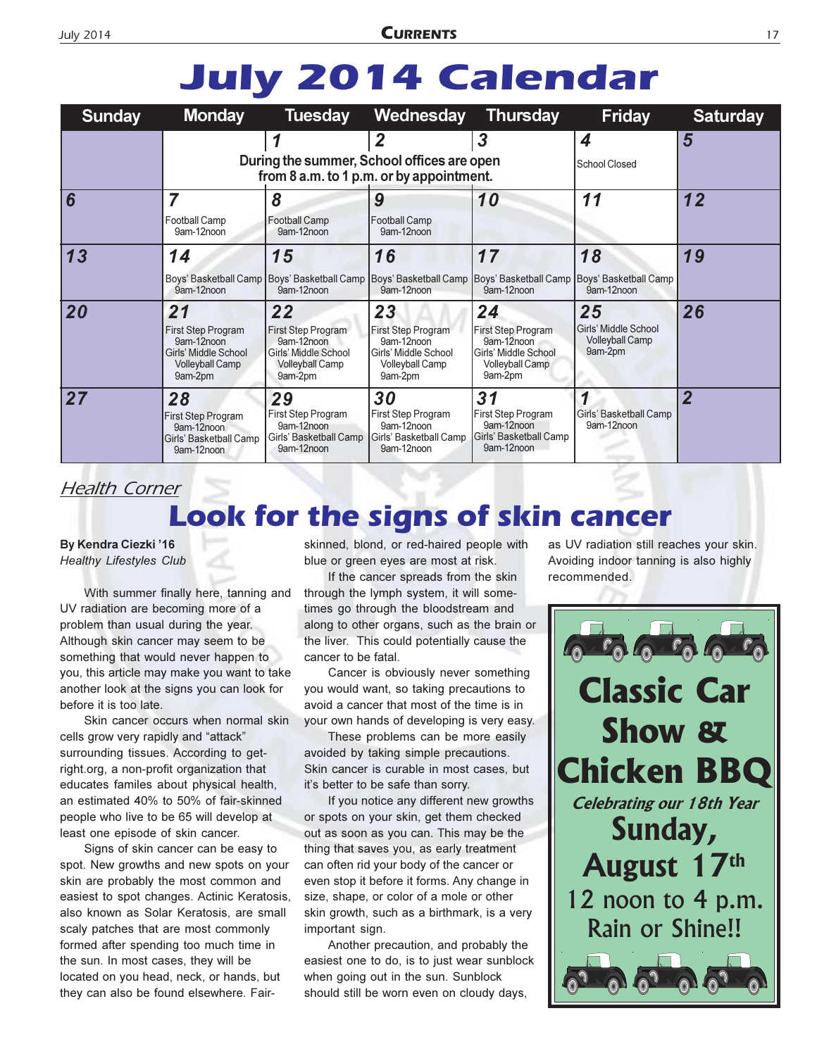## **July 2014 Calendar**

| <b>Sunday</b>  | <b>Monday</b>                                                                                       | <b>Tuesday</b>                                                                                      | Wednesday                                                                                                  | <b>Thursday</b>                                                                                     | <b>Friday</b>                                                   | <b>Saturday</b> |
|----------------|-----------------------------------------------------------------------------------------------------|-----------------------------------------------------------------------------------------------------|------------------------------------------------------------------------------------------------------------|-----------------------------------------------------------------------------------------------------|-----------------------------------------------------------------|-----------------|
|                |                                                                                                     | During the summer, School offices are open<br>from 8 a.m. to 1 p.m. or by appointment.              | 2                                                                                                          | 3                                                                                                   | 4<br><b>School Closed</b>                                       | 5               |
| $\overline{6}$ | 7<br><b>Football Camp</b><br>9am-12noon                                                             | 8<br><b>Football Camp</b><br>9am-12noon                                                             | 9<br>Football Camp<br>9am-12noon                                                                           | 10                                                                                                  | 11                                                              | 12              |
| 13             | 14<br>9am-12noon                                                                                    | 15<br>Boys' Basketball Camp   Boys' Basketball Camp   Boys' Basketball Camp<br>9am-12noon           | 16<br>9am-12noon                                                                                           | 17<br>9am-12noon                                                                                    | 18<br>Boys' Basketball Camp Boys' Basketball Camp<br>9am-12noon | 19              |
| 20             | 21<br>First Step Program<br>9am-12noon<br>Girls' Middle School<br><b>Volleyball Camp</b><br>9am-2pm | 22<br>First Step Program<br>9am-12noon<br>Girls' Middle School<br><b>Volleyball Camp</b><br>9am-2pm | 23<br>First Step Program<br>9am-12noon<br><b>Girls' Middle School</b><br><b>Volleyball Camp</b><br>9am-2pm | 24<br>First Step Program<br>9am-12noon<br>Girls' Middle School<br><b>Volleyball Camp</b><br>9am-2pm | 25<br>Girls' Middle School<br><b>Volleyball Camp</b><br>9am-2pm | 26              |
| 27             | 28<br><b>First Step Program</b><br>9am-12noon<br>Girls' Basketball Camp<br>9am-12noon               | 29<br>First Step Program<br>9am-12noon<br>Girls' Basketball Camp<br>9am-12noon                      | 30<br>First Step Program<br>9am-12noon<br>Girls' Basketball Camp<br>9am-12noon                             | 31<br>First Step Program<br>9am-12noon<br>Girls' Basketball Camp<br>9am-12noon                      | Girls' Basketball Camp<br>9am-12noon                            | 2               |

### **Health Corner**

### **Look for the signs of skin cancer**

By Kendra Ciezki '16

**Healthy Lifestyles Club** 

With summer finally here, tanning and UV radiation are becoming more of a problem than usual during the year. Although skin cancer may seem to be something that would never happen to you, this article may make you want to take another look at the signs you can look for before it is too late.

Skin cancer occurs when normal skin cells grow very rapidly and "attack" surrounding tissues. According to getright.org, a non-profit organization that educates familes about physical health, an estimated 40% to 50% of fair-skinned people who live to be 65 will develop at least one episode of skin cancer.

Signs of skin cancer can be easy to spot. New growths and new spots on your skin are probably the most common and easiest to spot changes. Actinic Keratosis, also known as Solar Keratosis, are small scaly patches that are most commonly formed after spending too much time in the sun. In most cases, they will be located on you head, neck, or hands, but they can also be found elsewhere. Fairskinned, blond, or red-haired people with blue or green eyes are most at risk.

If the cancer spreads from the skin through the lymph system, it will sometimes go through the bloodstream and along to other organs, such as the brain or the liver. This could potentially cause the cancer to be fatal.

Cancer is obviously never something you would want, so taking precautions to avoid a cancer that most of the time is in your own hands of developing is very easy.

These problems can be more easily avoided by taking simple precautions. Skin cancer is curable in most cases, but it's better to be safe than sorry.

If you notice any different new growths or spots on your skin, get them checked out as soon as you can. This may be the thing that saves you, as early treatment can often rid your body of the cancer or even stop it before it forms. Any change in size, shape, or color of a mole or other skin growth, such as a birthmark, is a very important sign.

Another precaution, and probably the easiest one to do, is to just wear sunblock when going out in the sun. Sunblock should still be worn even on cloudy days.

as UV radiation still reaches your skin. Avoiding indoor tanning is also highly recommended.